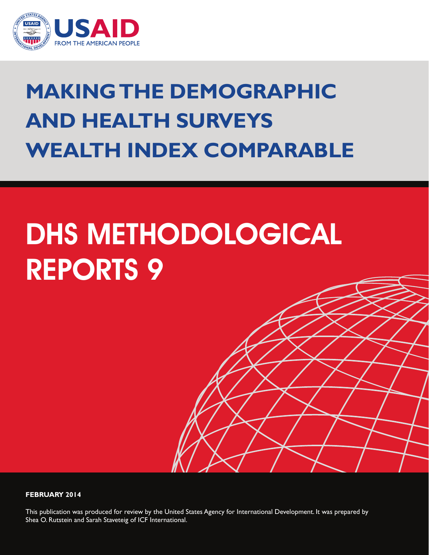

## **Making the Demographic and Health Surveys Wealth Index Comparable**

# DHS METHODOLOGICAL REPORTS 9

#### **FEBRUARY 2014**

This publication was produced for review by the United States Agency for International Development. It was prepared by Shea O. Rutstein and Sarah Staveteig of ICF International.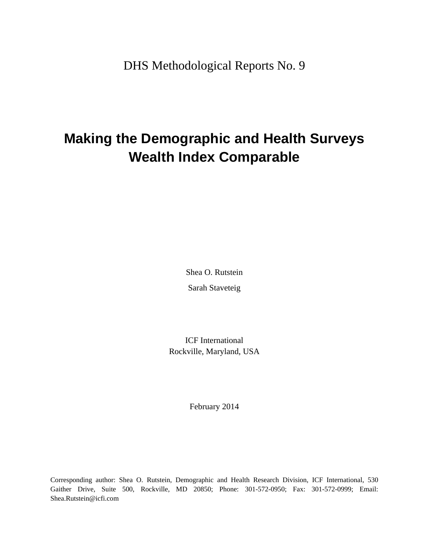DHS Methodological Reports No. 9

## **Making the Demographic and Health Surveys Wealth Index Comparable**

Shea O. Rutstein Sarah Staveteig

ICF International Rockville, Maryland, USA

February 2014

Corresponding author: Shea O. Rutstein, Demographic and Health Research Division, ICF International, 530 Gaither Drive, Suite 500, Rockville, MD 20850; Phone: 301-572-0950; Fax: 301-572-0999; Email: Shea.Rutstein@icfi.com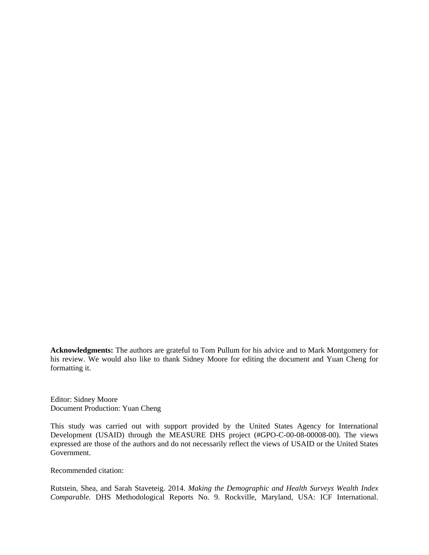**Acknowledgments:** The authors are grateful to Tom Pullum for his advice and to Mark Montgomery for his review. We would also like to thank Sidney Moore for editing the document and Yuan Cheng for formatting it.

Editor: Sidney Moore Document Production: Yuan Cheng

This study was carried out with support provided by the United States Agency for International Development (USAID) through the MEASURE DHS project (#GPO-C-00-08-00008-00). The views expressed are those of the authors and do not necessarily reflect the views of USAID or the United States Government.

Recommended citation:

Rutstein, Shea, and Sarah Staveteig. 2014. *Making the Demographic and Health Surveys Wealth Index Comparable.* DHS Methodological Reports No. 9. Rockville, Maryland, USA: ICF International.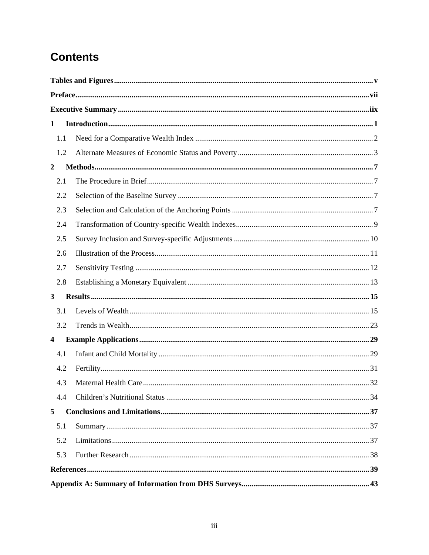## **Contents**

| 1                | In traditional: 1 |  |
|------------------|-------------------|--|
| 1.1              |                   |  |
| 1.2              |                   |  |
| $\boldsymbol{2}$ |                   |  |
| 2.1              |                   |  |
| 2.2              |                   |  |
| 2.3              |                   |  |
| 2.4              |                   |  |
| 2.5              |                   |  |
| 2.6              |                   |  |
| 2.7              |                   |  |
| 2.8              |                   |  |
| $\mathbf{3}$     |                   |  |
| 3.1              |                   |  |
| 3.2              |                   |  |
| 4                |                   |  |
| 4.1              |                   |  |
| 4.2              |                   |  |
| 4.3              |                   |  |
| 4.4              |                   |  |
| 5                |                   |  |
| 5.1              |                   |  |
| 5.2              |                   |  |
| 5.3              |                   |  |
|                  |                   |  |
|                  |                   |  |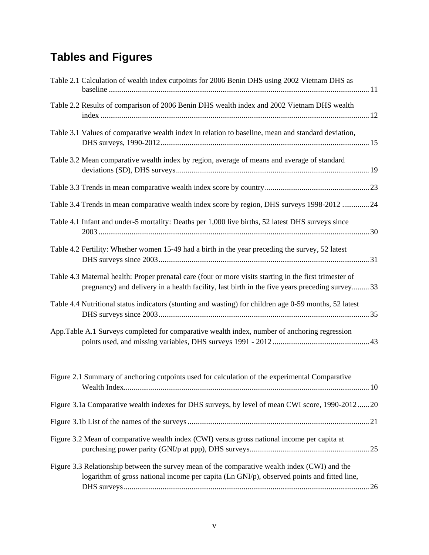## **Tables and Figures**

| Table 2.1 Calculation of wealth index cutpoints for 2006 Benin DHS using 2002 Vietnam DHS as                                                                                                             |  |
|----------------------------------------------------------------------------------------------------------------------------------------------------------------------------------------------------------|--|
| Table 2.2 Results of comparison of 2006 Benin DHS wealth index and 2002 Vietnam DHS wealth                                                                                                               |  |
| Table 3.1 Values of comparative wealth index in relation to baseline, mean and standard deviation,                                                                                                       |  |
| Table 3.2 Mean comparative wealth index by region, average of means and average of standard                                                                                                              |  |
|                                                                                                                                                                                                          |  |
| Table 3.4 Trends in mean comparative wealth index score by region, DHS surveys 1998-2012  24                                                                                                             |  |
| Table 4.1 Infant and under-5 mortality: Deaths per 1,000 live births, 52 latest DHS surveys since                                                                                                        |  |
| Table 4.2 Fertility: Whether women 15-49 had a birth in the year preceding the survey, 52 latest                                                                                                         |  |
| Table 4.3 Maternal health: Proper prenatal care (four or more visits starting in the first trimester of<br>pregnancy) and delivery in a health facility, last birth in the five years preceding survey33 |  |
| Table 4.4 Nutritional status indicators (stunting and wasting) for children age 0-59 months, 52 latest                                                                                                   |  |
| App. Table A.1 Surveys completed for comparative wealth index, number of anchoring regression                                                                                                            |  |
| Figure 2.1 Summary of anchoring cutpoints used for calculation of the experimental Comparative                                                                                                           |  |
| Figure 3.1a Comparative wealth indexes for DHS surveys, by level of mean CWI score, 1990-2012 20                                                                                                         |  |
|                                                                                                                                                                                                          |  |
| Figure 3.2 Mean of comparative wealth index (CWI) versus gross national income per capita at                                                                                                             |  |
| Figure 3.3 Relationship between the survey mean of the comparative wealth index (CWI) and the<br>logarithm of gross national income per capita (Ln GNI/p), observed points and fitted line,              |  |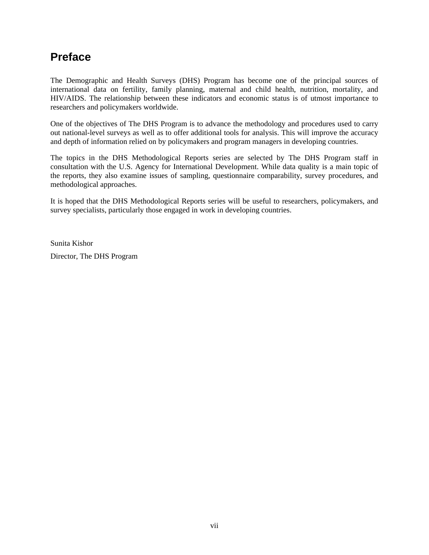## **Preface**

The Demographic and Health Surveys (DHS) Program has become one of the principal sources of international data on fertility, family planning, maternal and child health, nutrition, mortality, and HIV/AIDS. The relationship between these indicators and economic status is of utmost importance to researchers and policymakers worldwide.

One of the objectives of The DHS Program is to advance the methodology and procedures used to carry out national-level surveys as well as to offer additional tools for analysis. This will improve the accuracy and depth of information relied on by policymakers and program managers in developing countries.

The topics in the DHS Methodological Reports series are selected by The DHS Program staff in consultation with the U.S. Agency for International Development. While data quality is a main topic of the reports, they also examine issues of sampling, questionnaire comparability, survey procedures, and methodological approaches.

It is hoped that the DHS Methodological Reports series will be useful to researchers, policymakers, and survey specialists, particularly those engaged in work in developing countries.

Sunita Kishor Director, The DHS Program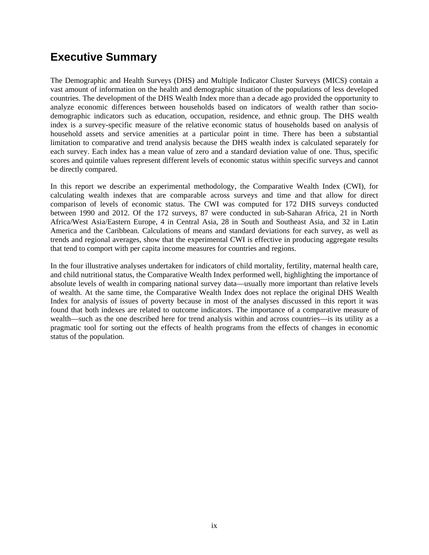## **Executive Summary**

The Demographic and Health Surveys (DHS) and Multiple Indicator Cluster Surveys (MICS) contain a vast amount of information on the health and demographic situation of the populations of less developed countries. The development of the DHS Wealth Index more than a decade ago provided the opportunity to analyze economic differences between households based on indicators of wealth rather than sociodemographic indicators such as education, occupation, residence, and ethnic group. The DHS wealth index is a survey-specific measure of the relative economic status of households based on analysis of household assets and service amenities at a particular point in time. There has been a substantial limitation to comparative and trend analysis because the DHS wealth index is calculated separately for each survey. Each index has a mean value of zero and a standard deviation value of one. Thus, specific scores and quintile values represent different levels of economic status within specific surveys and cannot be directly compared.

In this report we describe an experimental methodology, the Comparative Wealth Index (CWI), for calculating wealth indexes that are comparable across surveys and time and that allow for direct comparison of levels of economic status. The CWI was computed for 172 DHS surveys conducted between 1990 and 2012. Of the 172 surveys, 87 were conducted in sub-Saharan Africa, 21 in North Africa/West Asia/Eastern Europe, 4 in Central Asia, 28 in South and Southeast Asia, and 32 in Latin America and the Caribbean. Calculations of means and standard deviations for each survey, as well as trends and regional averages, show that the experimental CWI is effective in producing aggregate results that tend to comport with per capita income measures for countries and regions.

In the four illustrative analyses undertaken for indicators of child mortality, fertility, maternal health care, and child nutritional status, the Comparative Wealth Index performed well, highlighting the importance of absolute levels of wealth in comparing national survey data—usually more important than relative levels of wealth. At the same time, the Comparative Wealth Index does not replace the original DHS Wealth Index for analysis of issues of poverty because in most of the analyses discussed in this report it was found that both indexes are related to outcome indicators. The importance of a comparative measure of wealth—such as the one described here for trend analysis within and across countries—is its utility as a pragmatic tool for sorting out the effects of health programs from the effects of changes in economic status of the population.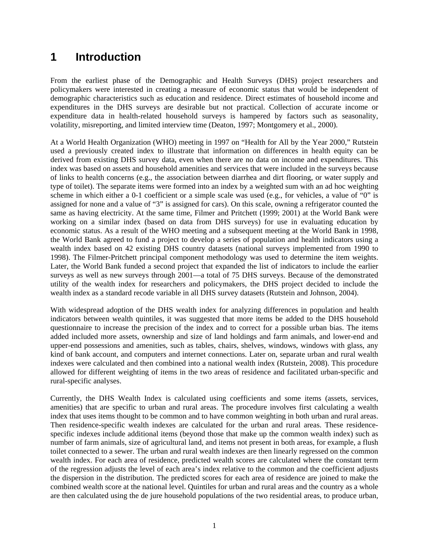## **1 Introduction**

From the earliest phase of the Demographic and Health Surveys (DHS) project researchers and policymakers were interested in creating a measure of economic status that would be independent of demographic characteristics such as education and residence. Direct estimates of household income and expenditures in the DHS surveys are desirable but not practical. Collection of accurate income or expenditure data in health-related household surveys is hampered by factors such as seasonality, volatility, misreporting, and limited interview time (Deaton, 1997; Montgomery et al., 2000).

At a World Health Organization (WHO) meeting in 1997 on "Health for All by the Year 2000," Rutstein used a previously created index to illustrate that information on differences in health equity can be derived from existing DHS survey data, even when there are no data on income and expenditures. This index was based on assets and household amenities and services that were included in the surveys because of links to health concerns (e.g., the association between diarrhea and dirt flooring, or water supply and type of toilet). The separate items were formed into an index by a weighted sum with an ad hoc weighting scheme in which either a 0-1 coefficient or a simple scale was used (e.g., for vehicles, a value of "0" is assigned for none and a value of "3" is assigned for cars). On this scale, owning a refrigerator counted the same as having electricity. At the same time, Filmer and Pritchett (1999; 2001) at the World Bank were working on a similar index (based on data from DHS surveys) for use in evaluating education by economic status. As a result of the WHO meeting and a subsequent meeting at the World Bank in 1998, the World Bank agreed to fund a project to develop a series of population and health indicators using a wealth index based on 42 existing DHS country datasets (national surveys implemented from 1990 to 1998). The Filmer-Pritchett principal component methodology was used to determine the item weights. Later, the World Bank funded a second project that expanded the list of indicators to include the earlier surveys as well as new surveys through 2001—a total of 75 DHS surveys. Because of the demonstrated utility of the wealth index for researchers and policymakers, the DHS project decided to include the wealth index as a standard recode variable in all DHS survey datasets (Rutstein and Johnson, 2004).

With widespread adoption of the DHS wealth index for analyzing differences in population and health indicators between wealth quintiles, it was suggested that more items be added to the DHS household questionnaire to increase the precision of the index and to correct for a possible urban bias. The items added included more assets, ownership and size of land holdings and farm animals, and lower-end and upper-end possessions and amenities, such as tables, chairs, shelves, windows, windows with glass, any kind of bank account, and computers and internet connections. Later on, separate urban and rural wealth indexes were calculated and then combined into a national wealth index (Rutstein, 2008). This procedure allowed for different weighting of items in the two areas of residence and facilitated urban-specific and rural-specific analyses.

Currently, the DHS Wealth Index is calculated using coefficients and some items (assets, services, amenities) that are specific to urban and rural areas. The procedure involves first calculating a wealth index that uses items thought to be common and to have common weighting in both urban and rural areas. Then residence-specific wealth indexes are calculated for the urban and rural areas. These residencespecific indexes include additional items (beyond those that make up the common wealth index) such as number of farm animals, size of agricultural land, and items not present in both areas, for example, a flush toilet connected to a sewer. The urban and rural wealth indexes are then linearly regressed on the common wealth index. For each area of residence, predicted wealth scores are calculated where the constant term of the regression adjusts the level of each area's index relative to the common and the coefficient adjusts the dispersion in the distribution. The predicted scores for each area of residence are joined to make the combined wealth score at the national level. Quintiles for urban and rural areas and the country as a whole are then calculated using the de jure household populations of the two residential areas, to produce urban,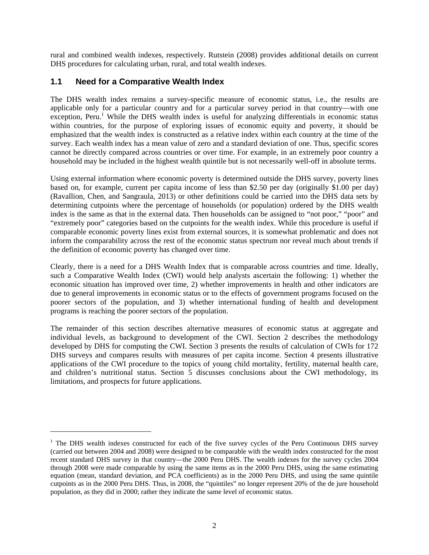rural and combined wealth indexes, respectively. Rutstein (2008) provides additional details on current DHS procedures for calculating urban, rural, and total wealth indexes.

#### **1.1 Need for a Comparative Wealth Index**

l

The DHS wealth index remains a survey-specific measure of economic status, i.e., the results are applicable only for a particular country and for a particular survey period in that country—with one exception, Peru.<sup>1</sup> While the DHS wealth index is useful for analyzing differentials in economic status within countries, for the purpose of exploring issues of economic equity and poverty, it should be emphasized that the wealth index is constructed as a relative index within each country at the time of the survey. Each wealth index has a mean value of zero and a standard deviation of one. Thus, specific scores cannot be directly compared across countries or over time. For example, in an extremely poor country a household may be included in the highest wealth quintile but is not necessarily well-off in absolute terms.

Using external information where economic poverty is determined outside the DHS survey, poverty lines based on, for example, current per capita income of less than \$2.50 per day (originally \$1.00 per day) (Ravallion, Chen, and Sangraula, 2013) or other definitions could be carried into the DHS data sets by determining cutpoints where the percentage of households (or population) ordered by the DHS wealth index is the same as that in the external data. Then households can be assigned to "not poor," "poor" and "extremely poor" categories based on the cutpoints for the wealth index. While this procedure is useful if comparable economic poverty lines exist from external sources, it is somewhat problematic and does not inform the comparability across the rest of the economic status spectrum nor reveal much about trends if the definition of economic poverty has changed over time.

Clearly, there is a need for a DHS Wealth Index that is comparable across countries and time. Ideally, such a Comparative Wealth Index (CWI) would help analysts ascertain the following: 1) whether the economic situation has improved over time, 2) whether improvements in health and other indicators are due to general improvements in economic status or to the effects of government programs focused on the poorer sectors of the population, and 3) whether international funding of health and development programs is reaching the poorer sectors of the population.

The remainder of this section describes alternative measures of economic status at aggregate and individual levels, as background to development of the CWI. Section 2 describes the methodology developed by DHS for computing the CWI. Section 3 presents the results of calculation of CWIs for 172 DHS surveys and compares results with measures of per capita income. Section 4 presents illustrative applications of the CWI procedure to the topics of young child mortality, fertility, maternal health care, and children's nutritional status. Section 5 discusses conclusions about the CWI methodology, its limitations, and prospects for future applications.

<sup>&</sup>lt;sup>1</sup> The DHS wealth indexes constructed for each of the five survey cycles of the Peru Continuous DHS survey (carried out between 2004 and 2008) were designed to be comparable with the wealth index constructed for the most recent standard DHS survey in that country—the 2000 Peru DHS. The wealth indexes for the survey cycles 2004 through 2008 were made comparable by using the same items as in the 2000 Peru DHS, using the same estimating equation (mean, standard deviation, and PCA coefficients) as in the 2000 Peru DHS, and using the same quintile cutpoints as in the 2000 Peru DHS. Thus, in 2008, the "quintiles" no longer represent 20% of the de jure household population, as they did in 2000; rather they indicate the same level of economic status.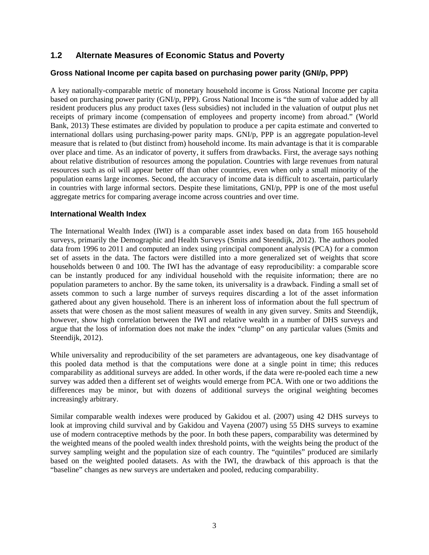#### **1.2 Alternate Measures of Economic Status and Poverty**

#### **Gross National Income per capita based on purchasing power parity (GNI/p, PPP)**

A key nationally-comparable metric of monetary household income is Gross National Income per capita based on purchasing power parity (GNI/p, PPP). Gross National Income is "the sum of value added by all resident producers plus any product taxes (less subsidies) not included in the valuation of output plus net receipts of primary income (compensation of employees and property income) from abroad." (World Bank, 2013) These estimates are divided by population to produce a per capita estimate and converted to international dollars using purchasing-power parity maps. GNI/p, PPP is an aggregate population-level measure that is related to (but distinct from) household income. Its main advantage is that it is comparable over place and time. As an indicator of poverty, it suffers from drawbacks. First, the average says nothing about relative distribution of resources among the population. Countries with large revenues from natural resources such as oil will appear better off than other countries, even when only a small minority of the population earns large incomes. Second, the accuracy of income data is difficult to ascertain, particularly in countries with large informal sectors. Despite these limitations, GNI/p, PPP is one of the most useful aggregate metrics for comparing average income across countries and over time.

#### **International Wealth Index**

The International Wealth Index (IWI) is a comparable asset index based on data from 165 household surveys, primarily the Demographic and Health Surveys (Smits and Steendijk, 2012). The authors pooled data from 1996 to 2011 and computed an index using principal component analysis (PCA) for a common set of assets in the data. The factors were distilled into a more generalized set of weights that score households between 0 and 100. The IWI has the advantage of easy reproducibility: a comparable score can be instantly produced for any individual household with the requisite information; there are no population parameters to anchor. By the same token, its universality is a drawback. Finding a small set of assets common to such a large number of surveys requires discarding a lot of the asset information gathered about any given household. There is an inherent loss of information about the full spectrum of assets that were chosen as the most salient measures of wealth in any given survey. Smits and Steendijk, however, show high correlation between the IWI and relative wealth in a number of DHS surveys and argue that the loss of information does not make the index "clump" on any particular values (Smits and Steendijk, 2012).

While universality and reproducibility of the set parameters are advantageous, one key disadvantage of this pooled data method is that the computations were done at a single point in time; this reduces comparability as additional surveys are added. In other words, if the data were re-pooled each time a new survey was added then a different set of weights would emerge from PCA. With one or two additions the differences may be minor, but with dozens of additional surveys the original weighting becomes increasingly arbitrary.

Similar comparable wealth indexes were produced by Gakidou et al. (2007) using 42 DHS surveys to look at improving child survival and by Gakidou and Vayena (2007) using 55 DHS surveys to examine use of modern contraceptive methods by the poor. In both these papers, comparability was determined by the weighted means of the pooled wealth index threshold points, with the weights being the product of the survey sampling weight and the population size of each country. The "quintiles" produced are similarly based on the weighted pooled datasets. As with the IWI, the drawback of this approach is that the "baseline" changes as new surveys are undertaken and pooled, reducing comparability.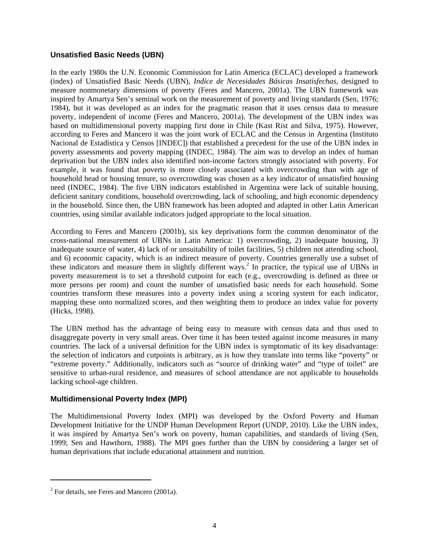#### **Unsatisfied Basic Needs (UBN)**

In the early 1980s the U.N. Economic Commission for Latin America (ECLAC) developed a framework (index) of Unsatisfied Basic Needs (UBN), *Indice de Necesidades Básicas Insatisfechas*, designed to measure nonmonetary dimensions of poverty (Feres and Mancero, 2001a). The UBN framework was inspired by Amartya Sen's seminal work on the measurement of poverty and living standards (Sen, 1976; 1984), but it was developed as an index for the pragmatic reason that it uses census data to measure poverty, independent of income (Feres and Mancero, 2001a). The development of the UBN index was based on multidimensional poverty mapping first done in Chile (Kast Rist and Silva, 1975). However, according to Feres and Mancero it was the joint work of ECLAC and the Census in Argentina (Instituto Nacional de Estadística y Censos [INDEC]) that established a precedent for the use of the UBN index in poverty assessments and poverty mapping (INDEC, 1984). The aim was to develop an index of human deprivation but the UBN index also identified non-income factors strongly associated with poverty. For example, it was found that poverty is more closely associated with overcrowding than with age of household head or housing tenure, so overcrowding was chosen as a key indicator of unsatisfied housing need (INDEC, 1984). The five UBN indicators established in Argentina were lack of suitable housing, deficient sanitary conditions, household overcrowding, lack of schooling, and high economic dependency in the household. Since then, the UBN framework has been adopted and adapted in other Latin American countries, using similar available indicators judged appropriate to the local situation.

According to Feres and Mancero (2001b), six key deprivations form the common denominator of the cross-national measurement of UBNs in Latin America: 1) overcrowding, 2) inadequate housing, 3) inadequate source of water, 4) lack of or unsuitability of toilet facilities, 5) children not attending school, and 6) economic capacity, which is an indirect measure of poverty. Countries generally use a subset of these indicators and measure them in slightly different ways.<sup>2</sup> In practice, the typical use of UBNs in poverty measurement is to set a threshold cutpoint for each (e.g., overcrowding is defined as three or more persons per room) and count the number of unsatisfied basic needs for each household. Some countries transform these measures into a poverty index using a scoring system for each indicator, mapping these onto normalized scores, and then weighting them to produce an index value for poverty (Hicks, 1998).

The UBN method has the advantage of being easy to measure with census data and thus used to disaggregate poverty in very small areas. Over time it has been tested against income measures in many countries. The lack of a universal definition for the UBN index is symptomatic of its key disadvantage: the selection of indicators and cutpoints is arbitrary, as is how they translate into terms like "poverty" or "extreme poverty." Additionally, indicators such as "source of drinking water" and "type of toilet" are sensitive to urban-rural residence, and measures of school attendance are not applicable to households lacking school-age children.

#### **Multidimensional Poverty Index (MPI)**

The Multidimensional Poverty Index (MPI) was developed by the Oxford Poverty and Human Development Initiative for the UNDP Human Development Report (UNDP, 2010). Like the UBN index, it was inspired by Amartya Sen's work on poverty, human capabilities, and standards of living (Sen, 1999; Sen and Hawthorn, 1988). The MPI goes further than the UBN by considering a larger set of human deprivations that include educational attainment and nutrition.

l

 $2^2$  For details, see Feres and Mancero (2001a).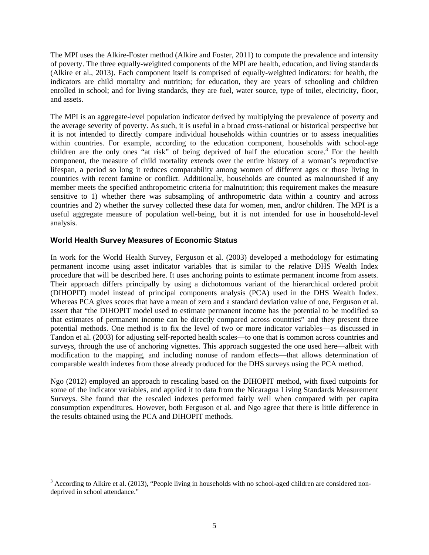The MPI uses the Alkire-Foster method (Alkire and Foster, 2011) to compute the prevalence and intensity of poverty. The three equally-weighted components of the MPI are health, education, and living standards (Alkire et al., 2013). Each component itself is comprised of equally-weighted indicators: for health, the indicators are child mortality and nutrition; for education, they are years of schooling and children enrolled in school; and for living standards, they are fuel, water source, type of toilet, electricity, floor, and assets.

The MPI is an aggregate-level population indicator derived by multiplying the prevalence of poverty and the average severity of poverty. As such, it is useful in a broad cross-national or historical perspective but it is not intended to directly compare individual households within countries or to assess inequalities within countries. For example, according to the education component, households with school-age children are the only ones "at risk" of being deprived of half the education score.<sup>3</sup> For the health component, the measure of child mortality extends over the entire history of a woman's reproductive lifespan, a period so long it reduces comparability among women of different ages or those living in countries with recent famine or conflict. Additionally, households are counted as malnourished if any member meets the specified anthropometric criteria for malnutrition; this requirement makes the measure sensitive to 1) whether there was subsampling of anthropometric data within a country and across countries and 2) whether the survey collected these data for women, men, and/or children. The MPI is a useful aggregate measure of population well-being, but it is not intended for use in household-level analysis.

#### **World Health Survey Measures of Economic Status**

1

In work for the World Health Survey, Ferguson et al. (2003) developed a methodology for estimating permanent income using asset indicator variables that is similar to the relative DHS Wealth Index procedure that will be described here. It uses anchoring points to estimate permanent income from assets. Their approach differs principally by using a dichotomous variant of the hierarchical ordered probit (DIHOPIT) model instead of principal components analysis (PCA) used in the DHS Wealth Index. Whereas PCA gives scores that have a mean of zero and a standard deviation value of one, Ferguson et al. assert that "the DIHOPIT model used to estimate permanent income has the potential to be modified so that estimates of permanent income can be directly compared across countries" and they present three potential methods. One method is to fix the level of two or more indicator variables—as discussed in Tandon et al. (2003) for adjusting self-reported health scales—to one that is common across countries and surveys, through the use of anchoring vignettes. This approach suggested the one used here—albeit with modification to the mapping, and including nonuse of random effects—that allows determination of comparable wealth indexes from those already produced for the DHS surveys using the PCA method.

Ngo (2012) employed an approach to rescaling based on the DIHOPIT method, with fixed cutpoints for some of the indicator variables, and applied it to data from the Nicaragua Living Standards Measurement Surveys. She found that the rescaled indexes performed fairly well when compared with per capita consumption expenditures. However, both Ferguson et al. and Ngo agree that there is little difference in the results obtained using the PCA and DIHOPIT methods.

 $3$  According to Alkire et al. (2013), "People living in households with no school-aged children are considered nondeprived in school attendance."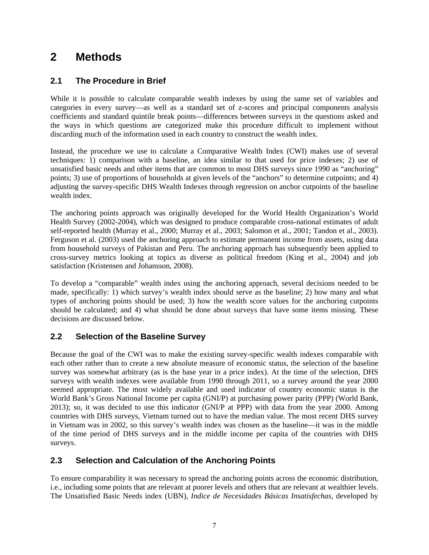## **2 Methods**

#### **2.1 The Procedure in Brief**

While it is possible to calculate comparable wealth indexes by using the same set of variables and categories in every survey—as well as a standard set of z-scores and principal components analysis coefficients and standard quintile break points—differences between surveys in the questions asked and the ways in which questions are categorized make this procedure difficult to implement without discarding much of the information used in each country to construct the wealth index.

Instead, the procedure we use to calculate a Comparative Wealth Index (CWI) makes use of several techniques: 1) comparison with a baseline, an idea similar to that used for price indexes; 2) use of unsatisfied basic needs and other items that are common to most DHS surveys since 1990 as "anchoring" points; 3) use of proportions of households at given levels of the "anchors" to determine cutpoints; and 4) adjusting the survey-specific DHS Wealth Indexes through regression on anchor cutpoints of the baseline wealth index.

The anchoring points approach was originally developed for the World Health Organization's World Health Survey (2002-2004), which was designed to produce comparable cross-national estimates of adult self-reported health (Murray et al., 2000; Murray et al., 2003; Salomon et al., 2001; Tandon et al., 2003). Ferguson et al. (2003) used the anchoring approach to estimate permanent income from assets, using data from household surveys of Pakistan and Peru. The anchoring approach has subsequently been applied to cross-survey metrics looking at topics as diverse as political freedom (King et al., 2004) and job satisfaction (Kristensen and Johansson, 2008).

To develop a "comparable" wealth index using the anchoring approach, several decisions needed to be made, specifically: 1) which survey's wealth index should serve as the baseline; 2) how many and what types of anchoring points should be used; 3) how the wealth score values for the anchoring cutpoints should be calculated; and 4) what should be done about surveys that have some items missing. These decisions are discussed below.

#### **2.2 Selection of the Baseline Survey**

Because the goal of the CWI was to make the existing survey-specific wealth indexes comparable with each other rather than to create a new absolute measure of economic status, the selection of the baseline survey was somewhat arbitrary (as is the base year in a price index). At the time of the selection, DHS surveys with wealth indexes were available from 1990 through 2011, so a survey around the year 2000 seemed appropriate. The most widely available and used indicator of country economic status is the World Bank's Gross National Income per capita (GNI/P) at purchasing power parity (PPP) (World Bank, 2013); so, it was decided to use this indicator (GNI/P at PPP) with data from the year 2000. Among countries with DHS surveys, Vietnam turned out to have the median value. The most recent DHS survey in Vietnam was in 2002, so this survey's wealth index was chosen as the baseline—it was in the middle of the time period of DHS surveys and in the middle income per capita of the countries with DHS surveys.

#### **2.3 Selection and Calculation of the Anchoring Points**

To ensure comparability it was necessary to spread the anchoring points across the economic distribution, i.e., including some points that are relevant at poorer levels and others that are relevant at wealthier levels. The Unsatisfied Basic Needs index (UBN), *Indice de Necesidades Básicas Insatisfechas*, developed by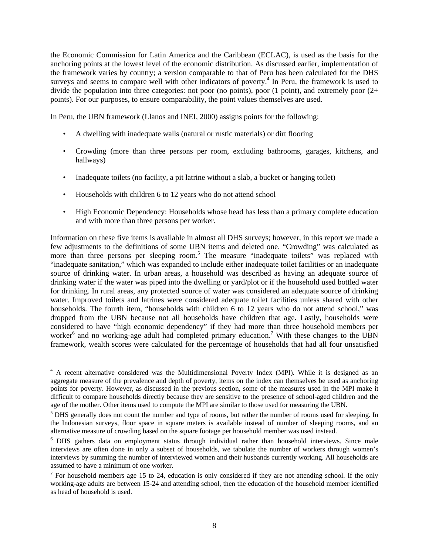the Economic Commission for Latin America and the Caribbean (ECLAC), is used as the basis for the anchoring points at the lowest level of the economic distribution. As discussed earlier, implementation of the framework varies by country; a version comparable to that of Peru has been calculated for the DHS surveys and seems to compare well with other indicators of poverty.<sup>4</sup> In Peru, the framework is used to divide the population into three categories: not poor (no points), poor (1 point), and extremely poor (2+ points). For our purposes, to ensure comparability, the point values themselves are used.

In Peru, the UBN framework (Llanos and INEI, 2000) assigns points for the following:

- A dwelling with inadequate walls (natural or rustic materials) or dirt flooring
- Crowding (more than three persons per room, excluding bathrooms, garages, kitchens, and hallways)
- Inadequate toilets (no facility, a pit latrine without a slab, a bucket or hanging toilet)
- Households with children 6 to 12 years who do not attend school

l

• High Economic Dependency: Households whose head has less than a primary complete education and with more than three persons per worker.

Information on these five items is available in almost all DHS surveys; however, in this report we made a few adjustments to the definitions of some UBN items and deleted one. "Crowding" was calculated as more than three persons per sleeping room.<sup>5</sup> The measure "inadequate toilets" was replaced with "inadequate sanitation," which was expanded to include either inadequate toilet facilities or an inadequate source of drinking water. In urban areas, a household was described as having an adequate source of drinking water if the water was piped into the dwelling or yard/plot or if the household used bottled water for drinking. In rural areas, any protected source of water was considered an adequate source of drinking water. Improved toilets and latrines were considered adequate toilet facilities unless shared with other households. The fourth item, "households with children 6 to 12 years who do not attend school," was dropped from the UBN because not all households have children that age. Lastly, households were considered to have "high economic dependency" if they had more than three household members per worker<sup>6</sup> and no working-age adult had completed primary education.<sup>7</sup> With these changes to the UBN framework, wealth scores were calculated for the percentage of households that had all four unsatisfied

<sup>&</sup>lt;sup>4</sup> A recent alternative considered was the Multidimensional Poverty Index (MPI). While it is designed as an aggregate measure of the prevalence and depth of poverty, items on the index can themselves be used as anchoring points for poverty. However, as discussed in the previous section, some of the measures used in the MPI make it difficult to compare households directly because they are sensitive to the presence of school-aged children and the age of the mother. Other items used to compute the MPI are similar to those used for measuring the UBN.

<sup>&</sup>lt;sup>5</sup> DHS generally does not count the number and type of rooms, but rather the number of rooms used for sleeping. In the Indonesian surveys, floor space in square meters is available instead of number of sleeping rooms, and an alternative measure of crowding based on the square footage per household member was used instead.

<sup>&</sup>lt;sup>6</sup> DHS gathers data on employment status through individual rather than household interviews. Since male interviews are often done in only a subset of households, we tabulate the number of workers through women's interviews by summing the number of interviewed women and their husbands currently working. All households are assumed to have a minimum of one worker.

<sup>&</sup>lt;sup>7</sup> For household members age 15 to 24, education is only considered if they are not attending school. If the only working-age adults are between 15-24 and attending school, then the education of the household member identified as head of household is used.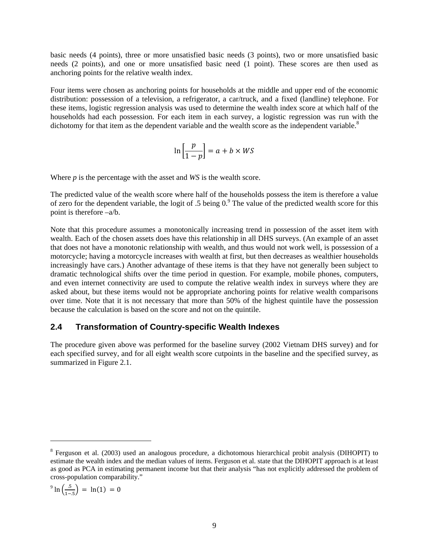basic needs (4 points), three or more unsatisfied basic needs (3 points), two or more unsatisfied basic needs (2 points), and one or more unsatisfied basic need (1 point). These scores are then used as anchoring points for the relative wealth index.

Four items were chosen as anchoring points for households at the middle and upper end of the economic distribution: possession of a television, a refrigerator, a car/truck, and a fixed (landline) telephone. For these items, logistic regression analysis was used to determine the wealth index score at which half of the households had each possession. For each item in each survey, a logistic regression was run with the dichotomy for that item as the dependent variable and the wealth score as the independent variable.<sup>8</sup>

$$
\ln\left[\frac{p}{1-p}\right] = a + b \times WS
$$

Where *p* is the percentage with the asset and *WS* is the wealth score.

The predicted value of the wealth score where half of the households possess the item is therefore a value of zero for the dependent variable, the logit of .5 being  $0.9$  The value of the predicted wealth score for this point is therefore –a/b.

Note that this procedure assumes a monotonically increasing trend in possession of the asset item with wealth. Each of the chosen assets does have this relationship in all DHS surveys. (An example of an asset that does not have a monotonic relationship with wealth, and thus would not work well, is possession of a motorcycle; having a motorcycle increases with wealth at first, but then decreases as wealthier households increasingly have cars.) Another advantage of these items is that they have not generally been subject to dramatic technological shifts over the time period in question. For example, mobile phones, computers, and even internet connectivity are used to compute the relative wealth index in surveys where they are asked about, but these items would not be appropriate anchoring points for relative wealth comparisons over time. Note that it is not necessary that more than 50% of the highest quintile have the possession because the calculation is based on the score and not on the quintile.

#### **2.4 Transformation of Country-specific Wealth Indexes**

The procedure given above was performed for the baseline survey (2002 Vietnam DHS survey) and for each specified survey, and for all eight wealth score cutpoints in the baseline and the specified survey, as summarized in Figure 2.1.

$$
9 \ln \left( \frac{.5}{1-.5} \right) = \ln(1) = 0
$$

l

<sup>&</sup>lt;sup>8</sup> Ferguson et al. (2003) used an analogous procedure, a dichotomous hierarchical probit analysis (DIHOPIT) to estimate the wealth index and the median values of items. Ferguson et al. state that the DIHOPIT approach is at least as good as PCA in estimating permanent income but that their analysis "has not explicitly addressed the problem of cross-population comparability."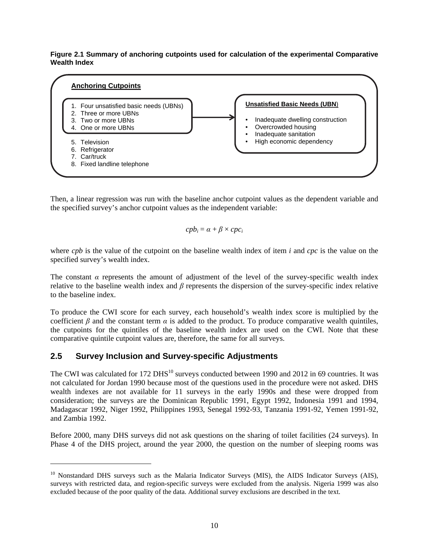**Figure 2.1 Summary of anchoring cutpoints used for calculation of the experimental Comparative Wealth Index** 



Then, a linear regression was run with the baseline anchor cutpoint values as the dependent variable and the specified survey's anchor cutpoint values as the independent variable:

$$
cpb_i = \alpha + \beta \times cpc_i
$$

where *cpb* is the value of the cutpoint on the baseline wealth index of item *i* and *cpc* is the value on the specified survey's wealth index.

The constant  $\alpha$  represents the amount of adjustment of the level of the survey-specific wealth index relative to the baseline wealth index and *β* represents the dispersion of the survey-specific index relative to the baseline index.

To produce the CWI score for each survey, each household's wealth index score is multiplied by the coefficient  $\beta$  and the constant term  $\alpha$  is added to the product. To produce comparative wealth quintiles, the cutpoints for the quintiles of the baseline wealth index are used on the CWI. Note that these comparative quintile cutpoint values are, therefore, the same for all surveys.

#### **2.5 Survey Inclusion and Survey-specific Adjustments**

-

The CWI was calculated for 172 DHS<sup>10</sup> surveys conducted between 1990 and 2012 in 69 countries. It was not calculated for Jordan 1990 because most of the questions used in the procedure were not asked. DHS wealth indexes are not available for 11 surveys in the early 1990s and these were dropped from consideration; the surveys are the Dominican Republic 1991, Egypt 1992, Indonesia 1991 and 1994, Madagascar 1992, Niger 1992, Philippines 1993, Senegal 1992-93, Tanzania 1991-92, Yemen 1991-92, and Zambia 1992.

Before 2000, many DHS surveys did not ask questions on the sharing of toilet facilities (24 surveys). In Phase 4 of the DHS project, around the year 2000, the question on the number of sleeping rooms was

<sup>&</sup>lt;sup>10</sup> Nonstandard DHS surveys such as the Malaria Indicator Surveys (MIS), the AIDS Indicator Surveys (AIS), surveys with restricted data, and region-specific surveys were excluded from the analysis. Nigeria 1999 was also excluded because of the poor quality of the data. Additional survey exclusions are described in the text.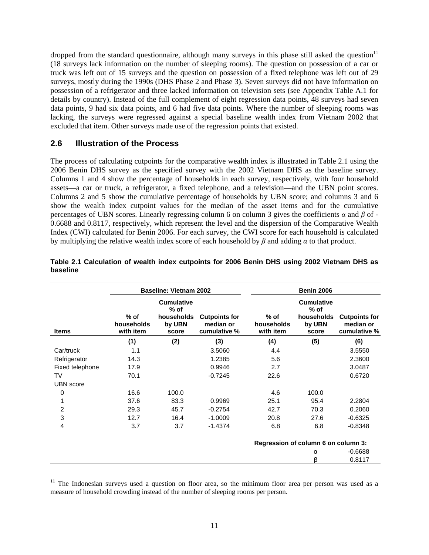dropped from the standard questionnaire, although many surveys in this phase still asked the question<sup>11</sup> (18 surveys lack information on the number of sleeping rooms). The question on possession of a car or truck was left out of 15 surveys and the question on possession of a fixed telephone was left out of 29 surveys, mostly during the 1990s (DHS Phase 2 and Phase 3). Seven surveys did not have information on possession of a refrigerator and three lacked information on television sets (see Appendix Table A.1 for details by country). Instead of the full complement of eight regression data points, 48 surveys had seven data points, 9 had six data points, and 6 had five data points. Where the number of sleeping rooms was lacking, the surveys were regressed against a special baseline wealth index from Vietnam 2002 that excluded that item. Other surveys made use of the regression points that existed.

#### **2.6 Illustration of the Process**

l

The process of calculating cutpoints for the comparative wealth index is illustrated in Table 2.1 using the 2006 Benin DHS survey as the specified survey with the 2002 Vietnam DHS as the baseline survey. Columns 1 and 4 show the percentage of households in each survey, respectively, with four household assets—a car or truck, a refrigerator, a fixed telephone, and a television—and the UBN point scores. Columns 2 and 5 show the cumulative percentage of households by UBN score; and columns 3 and 6 show the wealth index cutpoint values for the median of the asset items and for the cumulative percentages of UBN scores. Linearly regressing column 6 on column 3 gives the coefficients *α* and *β* of - 0.6688 and 0.8117, respectively, which represent the level and the dispersion of the Comparative Wealth Index (CWI) calculated for Benin 2006. For each survey, the CWI score for each household is calculated by multiplying the relative wealth index score of each household by *β* and adding *α* to that product.

|                  | <b>Baseline: Vietnam 2002</b>     |                                                              |                                                   | <b>Benin 2006</b>                 |                                                              |                                                   |  |  |
|------------------|-----------------------------------|--------------------------------------------------------------|---------------------------------------------------|-----------------------------------|--------------------------------------------------------------|---------------------------------------------------|--|--|
| <b>Items</b>     | $%$ of<br>households<br>with item | <b>Cumulative</b><br>$%$ of<br>households<br>by UBN<br>score | <b>Cutpoints for</b><br>median or<br>cumulative % | $%$ of<br>households<br>with item | <b>Cumulative</b><br>$%$ of<br>households<br>by UBN<br>score | <b>Cutpoints for</b><br>median or<br>cumulative % |  |  |
|                  | (1)                               | (2)                                                          | (3)                                               | (4)                               | (5)                                                          | (6)                                               |  |  |
| Car/truck        | 1.1                               |                                                              | 3.5060                                            | 4.4                               |                                                              | 3.5550                                            |  |  |
| Refrigerator     | 14.3                              |                                                              | 1.2385                                            | 5.6                               |                                                              | 2.3600                                            |  |  |
| Fixed telephone  | 17.9                              |                                                              | 0.9946                                            | 2.7                               |                                                              | 3.0487                                            |  |  |
| <b>TV</b>        | 70.1                              |                                                              | $-0.7245$                                         | 22.6                              |                                                              | 0.6720                                            |  |  |
| <b>UBN</b> score |                                   |                                                              |                                                   |                                   |                                                              |                                                   |  |  |
| 0                | 16.6                              | 100.0                                                        |                                                   | 4.6                               | 100.0                                                        |                                                   |  |  |
| 1                | 37.6                              | 83.3                                                         | 0.9969                                            | 25.1                              | 95.4                                                         | 2.2804                                            |  |  |
| 2                | 29.3                              | 45.7                                                         | $-0.2754$                                         | 42.7                              | 70.3                                                         | 0.2060                                            |  |  |
| 3                | 12.7                              | 16.4                                                         | $-1.0009$                                         | 20.8                              | 27.6                                                         | $-0.6325$                                         |  |  |
| 4                | 3.7                               | 3.7                                                          | $-1.4374$                                         | 6.8                               | 6.8                                                          | $-0.8348$                                         |  |  |
|                  |                                   |                                                              |                                                   |                                   | Regression of column 6 on column 3:                          |                                                   |  |  |
|                  |                                   |                                                              |                                                   |                                   | α                                                            | $-0.6688$                                         |  |  |
|                  |                                   |                                                              |                                                   |                                   | β                                                            | 0.8117                                            |  |  |

#### **Table 2.1 Calculation of wealth index cutpoints for 2006 Benin DHS using 2002 Vietnam DHS as baseline**

<sup>&</sup>lt;sup>11</sup> The Indonesian surveys used a question on floor area, so the minimum floor area per person was used as a measure of household crowding instead of the number of sleeping rooms per person.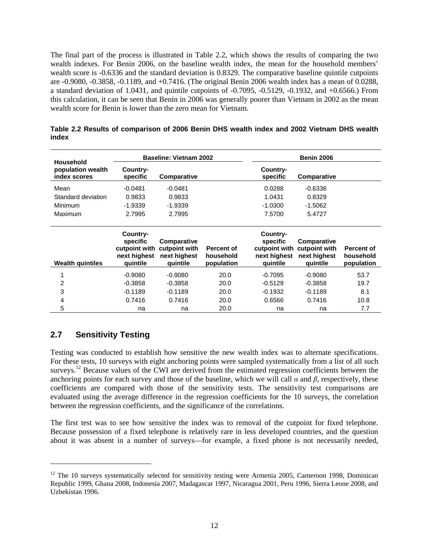The final part of the process is illustrated in Table 2.2, which shows the results of comparing the two wealth indexes. For Benin 2006, on the baseline wealth index, the mean for the household members' wealth score is -0.6336 and the standard deviation is 0.8329. The comparative baseline quintile cutpoints are -0.9080, -0.3858, -0.1189, and +0.7416. (The original Benin 2006 wealth index has a mean of 0.0288, a standard deviation of 1.0431, and quintile cutpoints of -0.7095, -0.5129, -0.1932, and +0.6566.) From this calculation, it can be seen that Benin in 2006 was generally poorer than Vietnam in 2002 as the mean wealth score for Benin is lower than the zero mean for Vietnam.

| Household                         |                                                                   | <b>Baseline: Vietnam 2002</b>                            |                                              |                                                                   | <b>Benin 2006</b>                                        |                                              |
|-----------------------------------|-------------------------------------------------------------------|----------------------------------------------------------|----------------------------------------------|-------------------------------------------------------------------|----------------------------------------------------------|----------------------------------------------|
| population wealth<br>index scores | Country-<br>specific                                              | Comparative                                              |                                              | Country-<br>specific                                              | Comparative                                              |                                              |
| Mean                              | $-0.0481$                                                         | $-0.0481$                                                |                                              | 0.0288                                                            | $-0.6336$                                                |                                              |
| Standard deviation                | 0.9833                                                            | 0.9833                                                   |                                              | 1.0431                                                            | 0.8329                                                   |                                              |
| Minimum                           | $-1.9339$                                                         | $-1.9339$                                                |                                              | $-1.0300$                                                         | $-1.5062$                                                |                                              |
| Maximum                           | 2.7995                                                            | 2.7995                                                   |                                              | 7.5700                                                            | 5.4727                                                   |                                              |
|                                   |                                                                   |                                                          |                                              |                                                                   |                                                          |                                              |
| <b>Wealth quintiles</b>           | Country-<br>specific<br>cutpoint with<br>next highest<br>quintile | Comparative<br>cutpoint with<br>next highest<br>quintile | <b>Percent of</b><br>household<br>population | Country-<br>specific<br>cutpoint with<br>next highest<br>quintile | Comparative<br>cutpoint with<br>next highest<br>quintile | <b>Percent of</b><br>household<br>population |
| 1                                 | $-0.9080$                                                         | $-0.9080$                                                | 20.0                                         | $-0.7095$                                                         | $-0.9080$                                                | 53.7                                         |
| 2                                 | $-0.3858$                                                         | $-0.3858$                                                | 20.0                                         | $-0.5129$                                                         | $-0.3858$                                                | 19.7                                         |
| 3                                 | $-0.1189$                                                         | $-0.1189$                                                | 20.0                                         | $-0.1932$                                                         | $-0.1189$                                                | 8.1                                          |
| 4                                 | 0.7416                                                            | 0.7416                                                   | 20.0                                         | 0.6566                                                            | 0.7416                                                   | 10.8                                         |
| 5                                 | na                                                                | na                                                       | 20.0                                         | na                                                                | na                                                       | 7.7                                          |

| Table 2.2 Results of comparison of 2006 Benin DHS wealth index and 2002 Vietnam DHS wealth |  |  |  |
|--------------------------------------------------------------------------------------------|--|--|--|
| index                                                                                      |  |  |  |

#### **2.7 Sensitivity Testing**

-

Testing was conducted to establish how sensitive the new wealth index was to alternate specifications. For these tests, 10 surveys with eight anchoring points were sampled systematically from a list of all such surveys.<sup>12</sup> Because values of the CWI are derived from the estimated regression coefficients between the anchoring points for each survey and those of the baseline, which we will call  $\alpha$  and  $\beta$ , respectively, these coefficients are compared with those of the sensitivity tests. The sensitivity test comparisons are evaluated using the average difference in the regression coefficients for the 10 surveys, the correlation between the regression coefficients, and the significance of the correlations.

The first test was to see how sensitive the index was to removal of the cutpoint for fixed telephone. Because possession of a fixed telephone is relatively rare in less developed countries, and the question about it was absent in a number of surveys—for example, a fixed phone is not necessarily needed,

<sup>&</sup>lt;sup>12</sup> The 10 surveys systematically selected for sensitivity testing were Armenia 2005, Cameroon 1998, Dominican Republic 1999, Ghana 2008, Indonesia 2007, Madagascar 1997, Nicaragua 2001, Peru 1996, Sierra Leone 2008, and Uzbekistan 1996.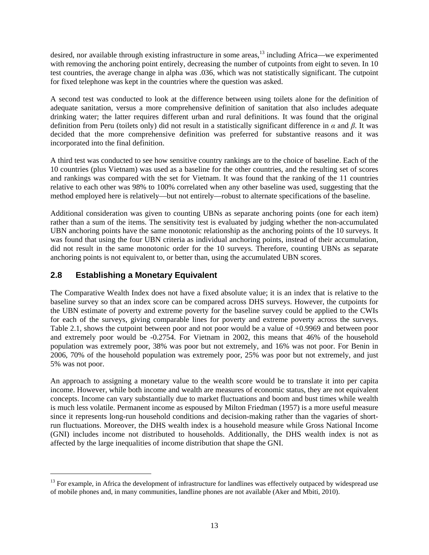desired, nor available through existing infrastructure in some areas,<sup>13</sup> including Africa—we experimented with removing the anchoring point entirely, decreasing the number of cutpoints from eight to seven. In 10 test countries, the average change in alpha was .036, which was not statistically significant. The cutpoint for fixed telephone was kept in the countries where the question was asked.

A second test was conducted to look at the difference between using toilets alone for the definition of adequate sanitation, versus a more comprehensive definition of sanitation that also includes adequate drinking water; the latter requires different urban and rural definitions. It was found that the original definition from Peru (toilets only) did not result in a statistically significant difference in *α* and *β*. It was decided that the more comprehensive definition was preferred for substantive reasons and it was incorporated into the final definition.

A third test was conducted to see how sensitive country rankings are to the choice of baseline. Each of the 10 countries (plus Vietnam) was used as a baseline for the other countries, and the resulting set of scores and rankings was compared with the set for Vietnam. It was found that the ranking of the 11 countries relative to each other was 98% to 100% correlated when any other baseline was used, suggesting that the method employed here is relatively—but not entirely—robust to alternate specifications of the baseline.

Additional consideration was given to counting UBNs as separate anchoring points (one for each item) rather than a sum of the items. The sensitivity test is evaluated by judging whether the non-accumulated UBN anchoring points have the same monotonic relationship as the anchoring points of the 10 surveys. It was found that using the four UBN criteria as individual anchoring points, instead of their accumulation, did not result in the same monotonic order for the 10 surveys. Therefore, counting UBNs as separate anchoring points is not equivalent to, or better than, using the accumulated UBN scores.

#### **2.8 Establishing a Monetary Equivalent**

l

The Comparative Wealth Index does not have a fixed absolute value; it is an index that is relative to the baseline survey so that an index score can be compared across DHS surveys. However, the cutpoints for the UBN estimate of poverty and extreme poverty for the baseline survey could be applied to the CWIs for each of the surveys, giving comparable lines for poverty and extreme poverty across the surveys. Table 2.1, shows the cutpoint between poor and not poor would be a value of +0.9969 and between poor and extremely poor would be -0.2754. For Vietnam in 2002, this means that 46% of the household population was extremely poor, 38% was poor but not extremely, and 16% was not poor. For Benin in 2006, 70% of the household population was extremely poor, 25% was poor but not extremely, and just 5% was not poor.

An approach to assigning a monetary value to the wealth score would be to translate it into per capita income. However, while both income and wealth are measures of economic status, they are not equivalent concepts. Income can vary substantially due to market fluctuations and boom and bust times while wealth is much less volatile. Permanent income as espoused by Milton Friedman (1957) is a more useful measure since it represents long-run household conditions and decision-making rather than the vagaries of shortrun fluctuations. Moreover, the DHS wealth index is a household measure while Gross National Income (GNI) includes income not distributed to households. Additionally, the DHS wealth index is not as affected by the large inequalities of income distribution that shape the GNI.

 $13$  For example, in Africa the development of infrastructure for landlines was effectively outpaced by widespread use of mobile phones and, in many communities, landline phones are not available (Aker and Mbiti, 2010).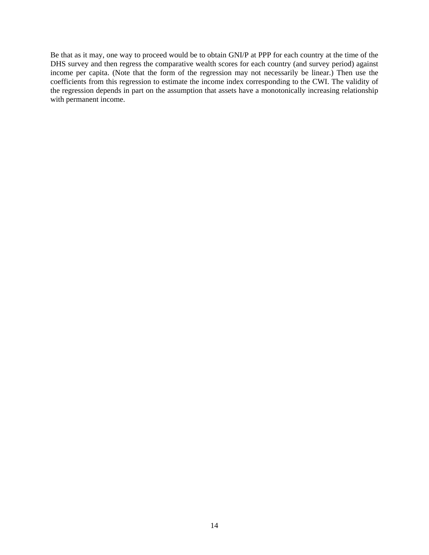Be that as it may, one way to proceed would be to obtain GNI/P at PPP for each country at the time of the DHS survey and then regress the comparative wealth scores for each country (and survey period) against income per capita. (Note that the form of the regression may not necessarily be linear.) Then use the coefficients from this regression to estimate the income index corresponding to the CWI. The validity of the regression depends in part on the assumption that assets have a monotonically increasing relationship with permanent income.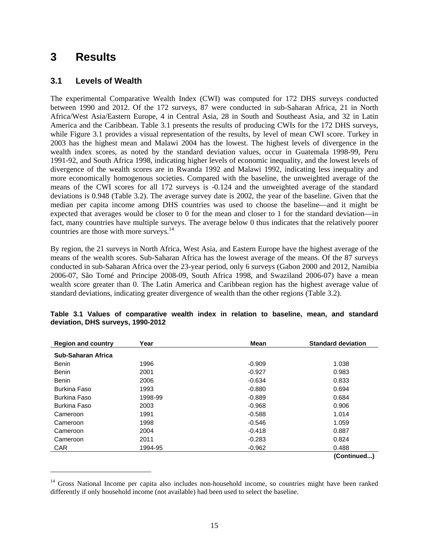## **3 Results**

l

#### **3.1 Levels of Wealth**

The experimental Comparative Wealth Index (CWI) was computed for 172 DHS surveys conducted between 1990 and 2012. Of the 172 surveys, 87 were conducted in sub-Saharan Africa, 21 in North Africa/West Asia/Eastern Europe, 4 in Central Asia, 28 in South and Southeast Asia, and 32 in Latin America and the Caribbean. Table 3.1 presents the results of producing CWIs for the 172 DHS surveys, while Figure 3.1 provides a visual representation of the results, by level of mean CWI score. Turkey in 2003 has the highest mean and Malawi 2004 has the lowest. The highest levels of divergence in the wealth index scores, as noted by the standard deviation values, occur in Guatemala 1998-99, Peru 1991-92, and South Africa 1998, indicating higher levels of economic inequality, and the lowest levels of divergence of the wealth scores are in Rwanda 1992 and Malawi 1992, indicating less inequality and more economically homogenous societies. Compared with the baseline, the unweighted average of the means of the CWI scores for all 172 surveys is -0.124 and the unweighted average of the standard deviations is 0.948 (Table 3.2). The average survey date is 2002, the year of the baseline. Given that the median per capita income among DHS countries was used to choose the baseline—and it might be expected that averages would be closer to 0 for the mean and closer to 1 for the standard deviation—in fact, many countries have multiple surveys. The average below 0 thus indicates that the relatively poorer countries are those with more surveys.<sup>14</sup>

By region, the 21 surveys in North Africa, West Asia, and Eastern Europe have the highest average of the means of the wealth scores. Sub-Saharan Africa has the lowest average of the means. Of the 87 surveys conducted in sub-Saharan Africa over the 23-year period, only 6 surveys (Gabon 2000 and 2012, Namibia 2006-07, São Tomé and Principe 2008-09, South Africa 1998, and Swaziland 2006-07) have a mean wealth score greater than 0. The Latin America and Caribbean region has the highest average value of standard deviations, indicating greater divergence of wealth than the other regions (Table 3.2).

| <b>Region and country</b> | Year    | <b>Mean</b> | <b>Standard deviation</b> |
|---------------------------|---------|-------------|---------------------------|
| Sub-Saharan Africa        |         |             |                           |
| <b>Benin</b>              | 1996    | $-0.909$    | 1.038                     |
| <b>Benin</b>              | 2001    | $-0.927$    | 0.983                     |
| <b>Benin</b>              | 2006    | $-0.634$    | 0.833                     |
| <b>Burkina Faso</b>       | 1993    | $-0.880$    | 0.694                     |
| <b>Burkina Faso</b>       | 1998-99 | $-0.889$    | 0.684                     |
| <b>Burkina Faso</b>       | 2003    | $-0.968$    | 0.906                     |
| Cameroon                  | 1991    | $-0.588$    | 1.014                     |
| Cameroon                  | 1998    | $-0.546$    | 1.059                     |
| Cameroon                  | 2004    | $-0.418$    | 0.887                     |
| Cameroon                  | 2011    | $-0.283$    | 0.824                     |
| <b>CAR</b>                | 1994-95 | $-0.962$    | 0.488                     |
|                           |         |             | (Continued)               |

|  |  | Table 3.1 Values of comparative wealth index in relation to baseline, mean, and standard |  |  |  |  |  |
|--|--|------------------------------------------------------------------------------------------|--|--|--|--|--|
|  |  | deviation, DHS surveys, 1990-2012                                                        |  |  |  |  |  |

<sup>&</sup>lt;sup>14</sup> Gross National Income per capita also includes non-household income, so countries might have been ranked differently if only household income (not available) had been used to select the baseline.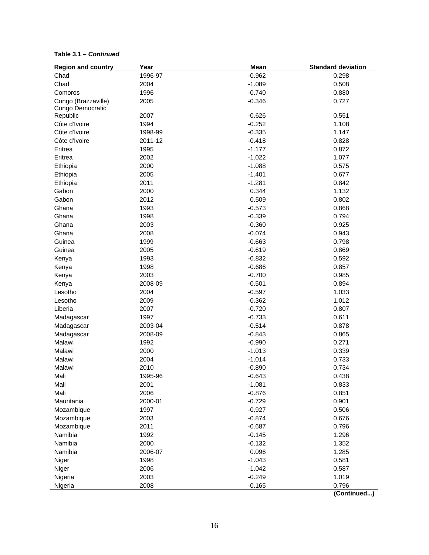| <b>Region and country</b> | Year    | Mean     | <b>Standard deviation</b> |
|---------------------------|---------|----------|---------------------------|
| Chad                      | 1996-97 | $-0.962$ | 0.298                     |
| Chad                      | 2004    | $-1.089$ | 0.508                     |
| Comoros                   | 1996    | $-0.740$ | 0.880                     |
| Congo (Brazzaville)       | 2005    | $-0.346$ | 0.727                     |
| Congo Democratic          |         |          |                           |
| Republic                  | 2007    | $-0.626$ | 0.551                     |
| Côte d'Ivoire             | 1994    | $-0.252$ | 1.108                     |
| Côte d'Ivoire             | 1998-99 | $-0.335$ | 1.147                     |
| Côte d'Ivoire             | 2011-12 | $-0.418$ | 0.828                     |
| Eritrea                   | 1995    | $-1.177$ | 0.872                     |
| Eritrea                   | 2002    | $-1.022$ | 1.077                     |
| Ethiopia                  | 2000    | $-1.088$ | 0.575                     |
| Ethiopia                  | 2005    | $-1.401$ | 0.677                     |
| Ethiopia                  | 2011    | $-1.281$ | 0.842                     |
| Gabon                     | 2000    | 0.344    | 1.132                     |
| Gabon                     | 2012    | 0.509    | 0.802                     |
| Ghana                     | 1993    | $-0.573$ | 0.868                     |
| Ghana                     | 1998    | $-0.339$ | 0.794                     |
| Ghana                     | 2003    | $-0.360$ | 0.925                     |
| Ghana                     | 2008    | $-0.074$ | 0.943                     |
| Guinea                    | 1999    | $-0.663$ | 0.798                     |
| Guinea                    | 2005    | $-0.619$ | 0.869                     |
| Kenya                     | 1993    | $-0.832$ | 0.592                     |
| Kenya                     | 1998    | $-0.686$ | 0.857                     |
| Kenya                     | 2003    | $-0.700$ | 0.985                     |
| Kenya                     | 2008-09 | $-0.501$ | 0.894                     |
| Lesotho                   | 2004    | $-0.597$ | 1.033                     |
| Lesotho                   | 2009    | $-0.362$ | 1.012                     |
| Liberia                   | 2007    | $-0.720$ | 0.807                     |
| Madagascar                | 1997    | $-0.733$ | 0.611                     |
| Madagascar                | 2003-04 | $-0.514$ | 0.878                     |
| Madagascar                | 2008-09 | $-0.843$ | 0.865                     |
| Malawi                    | 1992    | $-0.990$ | 0.271                     |
| Malawi                    | 2000    | $-1.013$ | 0.339                     |
| Malawi                    | 2004    | $-1.014$ | 0.733                     |
| Malawi                    | 2010    | $-0.890$ | 0.734                     |
| Mali                      | 1995-96 | $-0.643$ | 0.438                     |
| Mali                      | 2001    | $-1.081$ | 0.833                     |
| Mali                      | 2006    | $-0.876$ | 0.851                     |
| Mauritania                | 2000-01 | $-0.729$ | 0.901                     |
| Mozambique                | 1997    | $-0.927$ | 0.506                     |
| Mozambique                | 2003    | $-0.874$ | 0.676                     |
| Mozambique                | 2011    | $-0.687$ | 0.796                     |
| Namibia                   | 1992    | $-0.145$ | 1.296                     |
| Namibia                   | 2000    | $-0.132$ | 1.352                     |
| Namibia                   | 2006-07 | 0.096    | 1.285                     |
| Niger                     | 1998    | $-1.043$ | 0.581                     |
| Niger                     | 2006    | $-1.042$ | 0.587                     |
| Nigeria                   | 2003    | $-0.249$ | 1.019                     |
| Nigeria                   | 2008    | $-0.165$ | 0.796                     |
|                           |         |          |                           |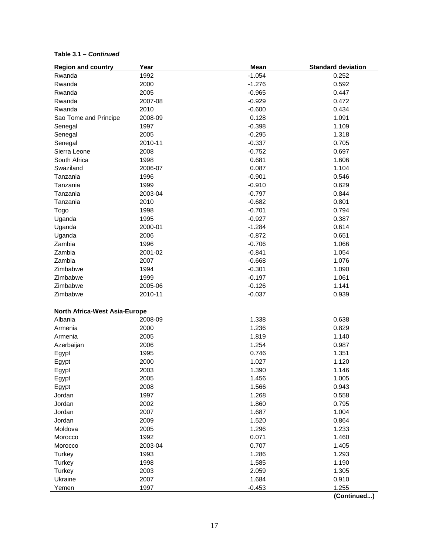| <b>Region and country</b>            | Year    | Mean     | <b>Standard deviation</b> |
|--------------------------------------|---------|----------|---------------------------|
| Rwanda                               | 1992    | $-1.054$ | 0.252                     |
| Rwanda                               | 2000    | $-1.276$ | 0.592                     |
| Rwanda                               | 2005    | $-0.965$ | 0.447                     |
| Rwanda                               | 2007-08 | $-0.929$ | 0.472                     |
| Rwanda                               | 2010    | $-0.600$ | 0.434                     |
| Sao Tome and Principe                | 2008-09 | 0.128    | 1.091                     |
| Senegal                              | 1997    | $-0.398$ | 1.109                     |
| Senegal                              | 2005    | $-0.295$ | 1.318                     |
| Senegal                              | 2010-11 | $-0.337$ | 0.705                     |
| Sierra Leone                         | 2008    | $-0.752$ | 0.697                     |
| South Africa                         | 1998    | 0.681    | 1.606                     |
| Swaziland                            | 2006-07 | 0.087    | 1.104                     |
| Tanzania                             | 1996    | $-0.901$ | 0.546                     |
| Tanzania                             | 1999    | $-0.910$ | 0.629                     |
| Tanzania                             | 2003-04 | $-0.797$ | 0.844                     |
| Tanzania                             | 2010    | $-0.682$ | 0.801                     |
| Togo                                 | 1998    | $-0.701$ | 0.794                     |
| Uganda                               | 1995    | $-0.927$ | 0.387                     |
| Uganda                               | 2000-01 | $-1.284$ | 0.614                     |
| Uganda                               | 2006    | $-0.872$ | 0.651                     |
| Zambia                               | 1996    | $-0.706$ | 1.066                     |
| Zambia                               | 2001-02 | $-0.841$ | 1.054                     |
| Zambia                               | 2007    | $-0.668$ | 1.076                     |
| Zimbabwe                             | 1994    | $-0.301$ | 1.090                     |
| Zimbabwe                             | 1999    | $-0.197$ | 1.061                     |
| Zimbabwe                             | 2005-06 | $-0.126$ | 1.141                     |
| Zimbabwe                             | 2010-11 | $-0.037$ | 0.939                     |
|                                      |         |          |                           |
| <b>North Africa-West Asia-Europe</b> |         |          |                           |
| Albania                              | 2008-09 | 1.338    | 0.638                     |
| Armenia                              | 2000    | 1.236    | 0.829                     |
| Armenia                              | 2005    | 1.819    | 1.140                     |
| Azerbaijan                           | 2006    | 1.254    | 0.987                     |
| Egypt                                | 1995    | 0.746    | 1.351                     |
| Egypt                                | 2000    | 1.027    | 1.120                     |
| Egypt                                | 2003    | 1.390    | 1.146                     |
| Egypt                                | 2005    | 1.456    | 1.005                     |
| Egypt                                | 2008    | 1.566    | 0.943                     |
| Jordan                               | 1997    | 1.268    | 0.558                     |
| Jordan                               | 2002    | 1.860    | 0.795                     |
| Jordan                               | 2007    | 1.687    | 1.004                     |
| Jordan                               | 2009    | 1.520    | 0.864                     |
| Moldova                              | 2005    | 1.296    | 1.233                     |
| Morocco                              | 1992    | 0.071    | 1.460                     |
| Morocco                              | 2003-04 | 0.707    | 1.405                     |
| Turkey                               | 1993    | 1.286    | 1.293                     |
| Turkey                               | 1998    | 1.585    | 1.190                     |
| Turkey                               | 2003    | 2.059    | 1.305                     |
| Ukraine                              | 2007    | 1.684    | 0.910                     |
| Yemen                                | 1997    | $-0.453$ | 1.255                     |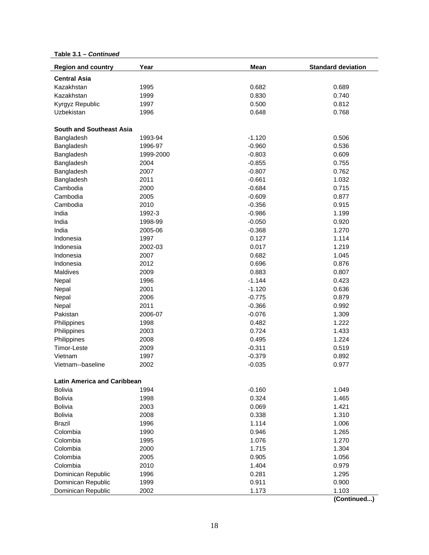| <b>Region and country</b>          | Year      | Mean     | <b>Standard deviation</b> |
|------------------------------------|-----------|----------|---------------------------|
| <b>Central Asia</b>                |           |          |                           |
| Kazakhstan                         | 1995      | 0.682    | 0.689                     |
| Kazakhstan                         | 1999      | 0.830    | 0.740                     |
| Kyrgyz Republic                    | 1997      | 0.500    | 0.812                     |
| Uzbekistan                         | 1996      | 0.648    | 0.768                     |
|                                    |           |          |                           |
| <b>South and Southeast Asia</b>    |           |          |                           |
| Bangladesh                         | 1993-94   | $-1.120$ | 0.506                     |
| Bangladesh                         | 1996-97   | $-0.960$ | 0.536                     |
| Bangladesh                         | 1999-2000 | $-0.803$ | 0.609                     |
| Bangladesh                         | 2004      | $-0.855$ | 0.755                     |
| Bangladesh                         | 2007      | $-0.807$ | 0.762                     |
| Bangladesh                         | 2011      | $-0.661$ | 1.032                     |
| Cambodia                           | 2000      | $-0.684$ | 0.715                     |
| Cambodia                           | 2005      | $-0.609$ | 0.877                     |
| Cambodia                           | 2010      | $-0.356$ | 0.915                     |
| India                              | 1992-3    | $-0.986$ | 1.199                     |
| India                              | 1998-99   | $-0.050$ | 0.920                     |
| India                              | 2005-06   | $-0.368$ | 1.270                     |
| Indonesia                          | 1997      | 0.127    | 1.114                     |
| Indonesia                          | 2002-03   | 0.017    | 1.219                     |
| Indonesia                          | 2007      | 0.682    | 1.045                     |
| Indonesia                          | 2012      | 0.696    | 0.876                     |
| Maldives                           | 2009      | 0.883    | 0.807                     |
| Nepal                              | 1996      | $-1.144$ | 0.423                     |
| Nepal                              | 2001      | $-1.120$ | 0.636                     |
| Nepal                              | 2006      | $-0.775$ | 0.879                     |
| Nepal                              | 2011      | $-0.366$ | 0.992                     |
| Pakistan                           | 2006-07   | $-0.076$ | 1.309                     |
| Philippines                        | 1998      | 0.482    | 1.222                     |
| Philippines                        | 2003      | 0.724    | 1.433                     |
| Philippines                        | 2008      | 0.495    | 1.224                     |
| Timor-Leste                        | 2009      | $-0.311$ | 0.519                     |
| Vietnam                            | 1997      | $-0.379$ | 0.892                     |
| Vietnam--baseline                  | 2002      | $-0.035$ | 0.977                     |
|                                    |           |          |                           |
| <b>Latin America and Caribbean</b> |           |          |                           |
| <b>Bolivia</b>                     | 1994      | $-0.160$ | 1.049                     |
| <b>Bolivia</b>                     | 1998      | 0.324    | 1.465                     |
| <b>Bolivia</b>                     | 2003      | 0.069    | 1.421                     |
| <b>Bolivia</b>                     | 2008      | 0.338    | 1.310                     |
| <b>Brazil</b>                      | 1996      | 1.114    | 1.006                     |
| Colombia                           | 1990      | 0.946    | 1.265                     |
| Colombia                           | 1995      | 1.076    | 1.270                     |
| Colombia                           | 2000      | 1.715    | 1.304                     |
| Colombia                           | 2005      | 0.905    | 1.056                     |
| Colombia                           | 2010      | 1.404    | 0.979                     |
| Dominican Republic                 | 1996      | 0.281    | 1.295                     |
| Dominican Republic                 | 1999      | 0.911    | 0.900                     |
| Dominican Republic                 | 2002      | 1.173    | 1.103                     |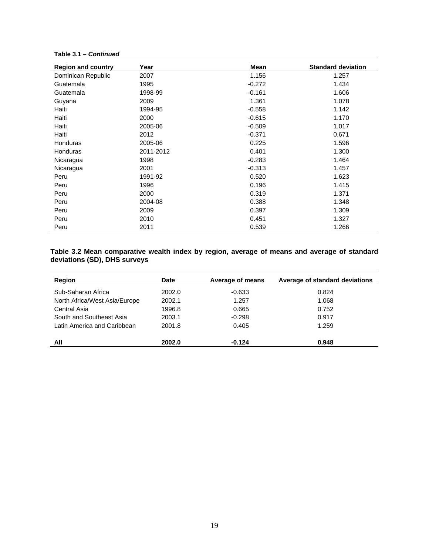| <b>Region and country</b> | Year      | Mean     | <b>Standard deviation</b> |
|---------------------------|-----------|----------|---------------------------|
| Dominican Republic        | 2007      | 1.156    | 1.257                     |
| Guatemala                 | 1995      | $-0.272$ | 1.434                     |
| Guatemala                 | 1998-99   | $-0.161$ | 1.606                     |
| Guyana                    | 2009      | 1.361    | 1.078                     |
| Haiti                     | 1994-95   | $-0.558$ | 1.142                     |
| Haiti                     | 2000      | $-0.615$ | 1.170                     |
| Haiti                     | 2005-06   | $-0.509$ | 1.017                     |
| Haiti                     | 2012      | $-0.371$ | 0.671                     |
| <b>Honduras</b>           | 2005-06   | 0.225    | 1.596                     |
| Honduras                  | 2011-2012 | 0.401    | 1.300                     |
| Nicaragua                 | 1998      | $-0.283$ | 1.464                     |
| Nicaragua                 | 2001      | $-0.313$ | 1.457                     |
| Peru                      | 1991-92   | 0.520    | 1.623                     |
| Peru                      | 1996      | 0.196    | 1.415                     |
| Peru                      | 2000      | 0.319    | 1.371                     |
| Peru                      | 2004-08   | 0.388    | 1.348                     |
| Peru                      | 2009      | 0.397    | 1.309                     |
| Peru                      | 2010      | 0.451    | 1.327                     |
| Peru                      | 2011      | 0.539    | 1.266                     |

#### **Table 3.2 Mean comparative wealth index by region, average of means and average of standard deviations (SD), DHS surveys**

| Region                        | <b>Date</b> | Average of means | Average of standard deviations |
|-------------------------------|-------------|------------------|--------------------------------|
| Sub-Saharan Africa            | 2002.0      | $-0.633$         | 0.824                          |
| North Africa/West Asia/Europe | 2002.1      | 1.257            | 1.068                          |
| Central Asia                  | 1996.8      | 0.665            | 0.752                          |
| South and Southeast Asia      | 2003.1      | $-0.298$         | 0.917                          |
| Latin America and Caribbean   | 2001.8      | 0.405            | 1.259                          |
|                               |             |                  |                                |
| All                           | 2002.0      | $-0.124$         | 0.948                          |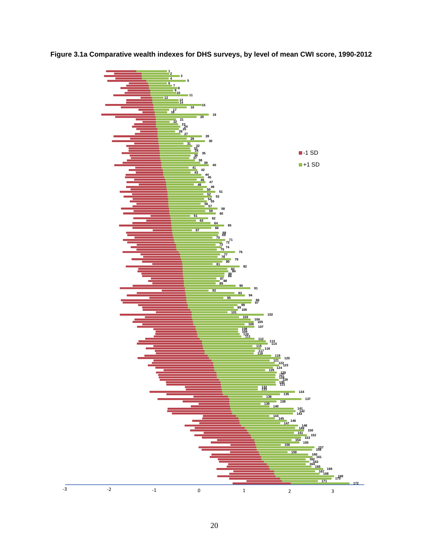

**Figure 3.1a Comparative wealth indexes for DHS surveys, by level of mean CWI score, 1990-2012**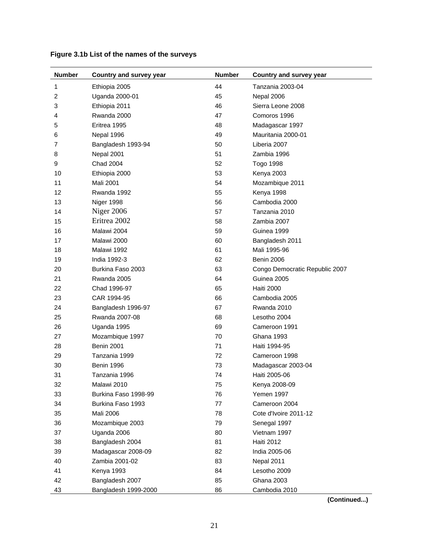| <b>Number</b> | Country and survey year | <b>Number</b> | Country and survey year        |
|---------------|-------------------------|---------------|--------------------------------|
| 1             | Ethiopia 2005           | 44            | Tanzania 2003-04               |
| 2             | Uganda 2000-01          | 45            | Nepal 2006                     |
| 3             | Ethiopia 2011           | 46            | Sierra Leone 2008              |
| 4             | Rwanda 2000             | 47            | Comoros 1996                   |
| 5             | Eritrea 1995            | 48            | Madagascar 1997                |
| 6             | Nepal 1996              | 49            | Mauritania 2000-01             |
| 7             | Bangladesh 1993-94      | 50            | Liberia 2007                   |
| 8             | Nepal 2001              | 51            | Zambia 1996                    |
| 9             | <b>Chad 2004</b>        | 52            | <b>Togo 1998</b>               |
| 10            | Ethiopia 2000           | 53            | Kenya 2003                     |
| 11            | <b>Mali 2001</b>        | 54            | Mozambique 2011                |
| 12            | Rwanda 1992             | 55            | Kenya 1998                     |
| 13            | Niger 1998              | 56            | Cambodia 2000                  |
| 14            | Niger 2006              | 57            | Tanzania 2010                  |
| 15            | Eritrea 2002            | 58            | Zambia 2007                    |
| 16            | Malawi 2004             | 59            | Guinea 1999                    |
| 17            | Malawi 2000             | 60            | Bangladesh 2011                |
| 18            | Malawi 1992             | 61            | Mali 1995-96                   |
| 19            | India 1992-3            | 62            | <b>Benin 2006</b>              |
| 20            | Burkina Faso 2003       | 63            | Congo Democratic Republic 2007 |
| 21            | Rwanda 2005             | 64            | Guinea 2005                    |
| 22            | Chad 1996-97            | 65            | <b>Haiti 2000</b>              |
| 23            | CAR 1994-95             | 66            | Cambodia 2005                  |
| 24            | Bangladesh 1996-97      | 67            | Rwanda 2010                    |
| 25            | Rwanda 2007-08          | 68            | Lesotho 2004                   |
| 26            | Uganda 1995             | 69            | Cameroon 1991                  |
| 27            | Mozambique 1997         | 70            | Ghana 1993                     |
| 28            | <b>Benin 2001</b>       | 71            | Haiti 1994-95                  |
| 29            | Tanzania 1999           | 72            | Cameroon 1998                  |
| 30            | Benin 1996              | 73            | Madagascar 2003-04             |
| 31            | Tanzania 1996           | 74            | Haiti 2005-06                  |
| 32            | Malawi 2010             | 75            | Kenya 2008-09                  |
| 33            | Burkina Faso 1998-99    | 76            | Yemen 1997                     |
| 34            | Burkina Faso 1993       | 77            | Cameroon 2004                  |
| 35            | Mali 2006               | 78            | Cote d'Ivoire 2011-12          |
| 36            | Mozambique 2003         | 79            | Senegal 1997                   |
| 37            | Uganda 2006             | 80            | Vietnam 1997                   |
| 38            | Bangladesh 2004         | 81            | <b>Haiti 2012</b>              |
| 39            | Madagascar 2008-09      | 82            | India 2005-06                  |
| 40            | Zambia 2001-02          | 83            | Nepal 2011                     |
| 41            | Kenya 1993              | 84            | Lesotho 2009                   |
| 42            | Bangladesh 2007         | 85            | Ghana 2003                     |
| 43            | Bangladesh 1999-2000    | 86            | Cambodia 2010                  |

#### **Figure 3.1b List of the names of the surveys**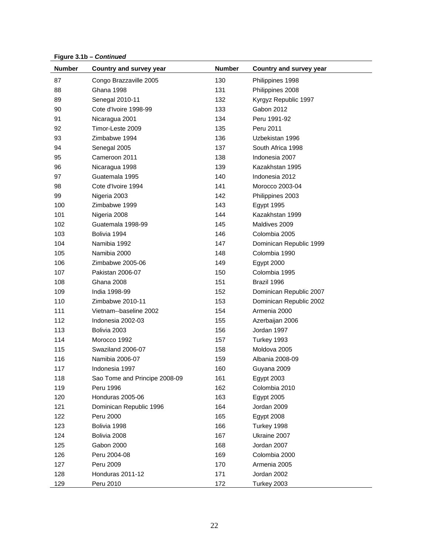**Figure 3.1b –** *Continued*

| <b>Number</b> | Country and survey year       | <b>Number</b> | <b>Country and survey year</b> |
|---------------|-------------------------------|---------------|--------------------------------|
| 87            | Congo Brazzaville 2005        | 130           | Philippines 1998               |
| 88            | Ghana 1998                    | 131           | Philippines 2008               |
| 89            | Senegal 2010-11               | 132           | Kyrgyz Republic 1997           |
| 90            | Cote d'Ivoire 1998-99         | 133           | Gabon 2012                     |
| 91            | Nicaragua 2001                | 134           | Peru 1991-92                   |
| 92            | Timor-Leste 2009              | 135           | Peru 2011                      |
| 93            | Zimbabwe 1994                 | 136           | Uzbekistan 1996                |
| 94            | Senegal 2005                  | 137           | South Africa 1998              |
| 95            | Cameroon 2011                 | 138           | Indonesia 2007                 |
| 96            | Nicaragua 1998                | 139           | Kazakhstan 1995                |
| 97            | Guatemala 1995                | 140           | Indonesia 2012                 |
| 98            | Cote d'Ivoire 1994            | 141           | Morocco 2003-04                |
| 99            | Nigeria 2003                  | 142           | Philippines 2003               |
| 100           | Zimbabwe 1999                 | 143           | Egypt 1995                     |
| 101           | Nigeria 2008                  | 144           | Kazakhstan 1999                |
| 102           | Guatemala 1998-99             | 145           | Maldives 2009                  |
| 103           | Bolivia 1994                  | 146           | Colombia 2005                  |
| 104           | Namibia 1992                  | 147           | Dominican Republic 1999        |
| 105           | Namibia 2000                  | 148           | Colombia 1990                  |
| 106           | Zimbabwe 2005-06              | 149           | Egypt 2000                     |
| 107           | Pakistan 2006-07              | 150           | Colombia 1995                  |
| 108           | Ghana 2008                    | 151           | Brazil 1996                    |
| 109           | India 1998-99                 | 152           | Dominican Republic 2007        |
| 110           | Zimbabwe 2010-11              | 153           | Dominican Republic 2002        |
| 111           | Vietnam--baseline 2002        | 154           | Armenia 2000                   |
| 112           | Indonesia 2002-03             | 155           | Azerbaijan 2006                |
| 113           | Bolivia 2003                  | 156           | Jordan 1997                    |
| 114           | Morocco 1992                  | 157           | Turkey 1993                    |
| 115           | Swaziland 2006-07             | 158           | Moldova 2005                   |
| 116           | Namibia 2006-07               | 159           | Albania 2008-09                |
| 117           | Indonesia 1997                | 160           | Guyana 2009                    |
| 118           | Sao Tome and Principe 2008-09 | 161           | Egypt 2003                     |
| 119           | Peru 1996                     | 162           | Colombia 2010                  |
| 120           | Honduras 2005-06              | 163           | Egypt 2005                     |
| 121           | Dominican Republic 1996       | 164           | Jordan 2009                    |
| 122           | Peru 2000                     | 165           | Egypt 2008                     |
| 123           | Bolivia 1998                  | 166           | Turkey 1998                    |
| 124           | Bolivia 2008                  | 167           | Ukraine 2007                   |
| 125           | Gabon 2000                    | 168           | Jordan 2007                    |
| 126           | Peru 2004-08                  | 169           | Colombia 2000                  |
| 127           | Peru 2009                     | 170           | Armenia 2005                   |
| 128           | Honduras 2011-12              | 171           | Jordan 2002                    |
| 129           | Peru 2010                     | 172           | Turkey 2003                    |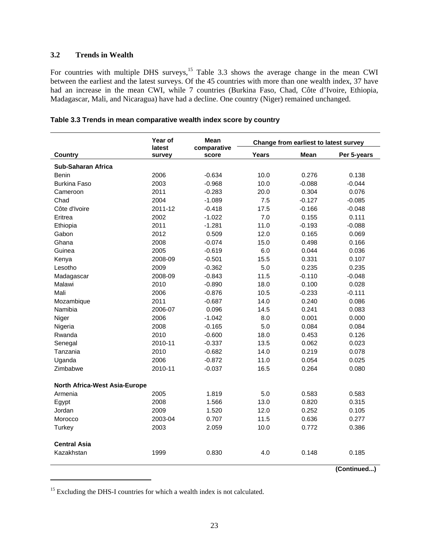#### **3.2 Trends in Wealth**

For countries with multiple DHS surveys,<sup>15</sup> Table 3.3 shows the average change in the mean CWI between the earliest and the latest surveys. Of the 45 countries with more than one wealth index, 37 have had an increase in the mean CWI, while 7 countries (Burkina Faso, Chad, Côte d'Ivoire, Ethiopia, Madagascar, Mali, and Nicaragua) have had a decline. One country (Niger) remained unchanged.

|                                      | Year of<br>latest | Mean<br>comparative |       | Change from earliest to latest survey |             |
|--------------------------------------|-------------------|---------------------|-------|---------------------------------------|-------------|
| Country                              | survey            | score               | Years | <b>Mean</b>                           | Per 5-years |
| <b>Sub-Saharan Africa</b>            |                   |                     |       |                                       |             |
| <b>Benin</b>                         | 2006              | $-0.634$            | 10.0  | 0.276                                 | 0.138       |
| <b>Burkina Faso</b>                  | 2003              | $-0.968$            | 10.0  | $-0.088$                              | $-0.044$    |
| Cameroon                             | 2011              | $-0.283$            | 20.0  | 0.304                                 | 0.076       |
| Chad                                 | 2004              | $-1.089$            | 7.5   | $-0.127$                              | $-0.085$    |
| Côte d'Ivoire                        | 2011-12           | $-0.418$            | 17.5  | $-0.166$                              | $-0.048$    |
| Eritrea                              | 2002              | $-1.022$            | 7.0   | 0.155                                 | 0.111       |
| Ethiopia                             | 2011              | $-1.281$            | 11.0  | $-0.193$                              | $-0.088$    |
| Gabon                                | 2012              | 0.509               | 12.0  | 0.165                                 | 0.069       |
| Ghana                                | 2008              | $-0.074$            | 15.0  | 0.498                                 | 0.166       |
| Guinea                               | 2005              | $-0.619$            | 6.0   | 0.044                                 | 0.036       |
| Kenya                                | 2008-09           | $-0.501$            | 15.5  | 0.331                                 | 0.107       |
| Lesotho                              | 2009              | $-0.362$            | 5.0   | 0.235                                 | 0.235       |
| Madagascar                           | 2008-09           | $-0.843$            | 11.5  | $-0.110$                              | $-0.048$    |
| Malawi                               | 2010              | $-0.890$            | 18.0  | 0.100                                 | 0.028       |
| Mali                                 | 2006              | $-0.876$            | 10.5  | $-0.233$                              | $-0.111$    |
| Mozambique                           | 2011              | $-0.687$            | 14.0  | 0.240                                 | 0.086       |
| Namibia                              | 2006-07           | 0.096               | 14.5  | 0.241                                 | 0.083       |
| Niger                                | 2006              | $-1.042$            | 8.0   | 0.001                                 | 0.000       |
| Nigeria                              | 2008              | $-0.165$            | 5.0   | 0.084                                 | 0.084       |
| Rwanda                               | 2010              | $-0.600$            | 18.0  | 0.453                                 | 0.126       |
| Senegal                              | 2010-11           | $-0.337$            | 13.5  | 0.062                                 | 0.023       |
| Tanzania                             | 2010              | $-0.682$            | 14.0  | 0.219                                 | 0.078       |
| Uganda                               | 2006              | $-0.872$            | 11.0  | 0.054                                 | 0.025       |
| Zimbabwe                             | 2010-11           | $-0.037$            | 16.5  | 0.264                                 | 0.080       |
| <b>North Africa-West Asia-Europe</b> |                   |                     |       |                                       |             |
| Armenia                              | 2005              | 1.819               | 5.0   | 0.583                                 | 0.583       |
| Egypt                                | 2008              | 1.566               | 13.0  | 0.820                                 | 0.315       |
| Jordan                               | 2009              | 1.520               | 12.0  | 0.252                                 | 0.105       |
| Morocco                              | 2003-04           | 0.707               | 11.5  | 0.636                                 | 0.277       |
| Turkey                               | 2003              | 2.059               | 10.0  | 0.772                                 | 0.386       |
|                                      |                   |                     |       |                                       |             |
| <b>Central Asia</b>                  |                   |                     |       |                                       |             |
| Kazakhstan                           | 1999              | 0.830               | 4.0   | 0.148                                 | 0.185       |

|  | Table 3.3 Trends in mean comparative wealth index score by country |  |
|--|--------------------------------------------------------------------|--|
|--|--------------------------------------------------------------------|--|

**(Continued...)**

l

<sup>&</sup>lt;sup>15</sup> Excluding the DHS-I countries for which a wealth index is not calculated.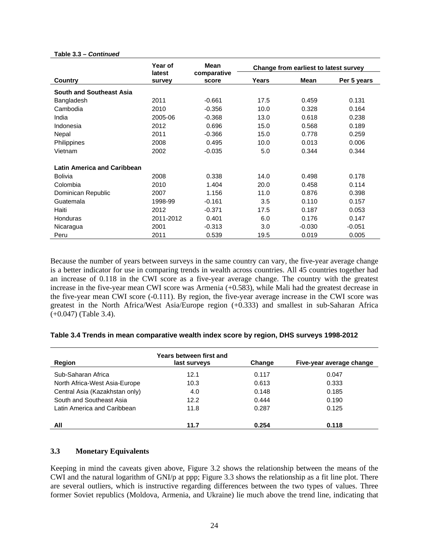|                                    | Year of<br>latest | Mean<br>comparative |       | Change from earliest to latest survey |             |
|------------------------------------|-------------------|---------------------|-------|---------------------------------------|-------------|
| <b>Country</b>                     | survey            | score               | Years | Mean                                  | Per 5 years |
| <b>South and Southeast Asia</b>    |                   |                     |       |                                       |             |
| Bangladesh                         | 2011              | $-0.661$            | 17.5  | 0.459                                 | 0.131       |
| Cambodia                           | 2010              | $-0.356$            | 10.0  | 0.328                                 | 0.164       |
| India                              | 2005-06           | $-0.368$            | 13.0  | 0.618                                 | 0.238       |
| Indonesia                          | 2012              | 0.696               | 15.0  | 0.568                                 | 0.189       |
| Nepal                              | 2011              | $-0.366$            | 15.0  | 0.778                                 | 0.259       |
| Philippines                        | 2008              | 0.495               | 10.0  | 0.013                                 | 0.006       |
| Vietnam                            | 2002              | $-0.035$            | 5.0   | 0.344                                 | 0.344       |
| <b>Latin America and Caribbean</b> |                   |                     |       |                                       |             |
| <b>Bolivia</b>                     | 2008              | 0.338               | 14.0  | 0.498                                 | 0.178       |
| Colombia                           | 2010              | 1.404               | 20.0  | 0.458                                 | 0.114       |
| Dominican Republic                 | 2007              | 1.156               | 11.0  | 0.876                                 | 0.398       |
| Guatemala                          | 1998-99           | $-0.161$            | 3.5   | 0.110                                 | 0.157       |
| Haiti                              | 2012              | $-0.371$            | 17.5  | 0.187                                 | 0.053       |
| <b>Honduras</b>                    | 2011-2012         | 0.401               | 6.0   | 0.176                                 | 0.147       |
| Nicaragua                          | 2001              | $-0.313$            | 3.0   | $-0.030$                              | $-0.051$    |
| Peru                               | 2011              | 0.539               | 19.5  | 0.019                                 | 0.005       |

Because the number of years between surveys in the same country can vary, the five-year average change is a better indicator for use in comparing trends in wealth across countries. All 45 countries together had an increase of 0.118 in the CWI score as a five-year average change. The country with the greatest increase in the five-year mean CWI score was Armenia (+0.583), while Mali had the greatest decrease in the five-year mean CWI score (-0.111). By region, the five-year average increase in the CWI score was greatest in the North Africa/West Asia/Europe region (+0.333) and smallest in sub-Saharan Africa (+0.047) (Table 3.4).

#### **Table 3.4 Trends in mean comparative wealth index score by region, DHS surveys 1998-2012**

| Region                         | Years between first and<br>last surveys | Change | Five-year average change |
|--------------------------------|-----------------------------------------|--------|--------------------------|
| Sub-Saharan Africa             | 12.1                                    | 0.117  | 0.047                    |
| North Africa-West Asia-Europe  | 10.3                                    | 0.613  | 0.333                    |
| Central Asia (Kazakhstan only) | 4.0                                     | 0.148  | 0.185                    |
| South and Southeast Asia       | 12.2                                    | 0.444  | 0.190                    |
| Latin America and Caribbean    | 11.8                                    | 0.287  | 0.125                    |
| All                            | 11.7                                    | 0.254  | 0.118                    |

#### **3.3 Monetary Equivalents**

Keeping in mind the caveats given above, Figure 3.2 shows the relationship between the means of the CWI and the natural logarithm of GNI/p at ppp; Figure 3.3 shows the relationship as a fit line plot. There are several outliers, which is instructive regarding differences between the two types of values. Three former Soviet republics (Moldova, Armenia, and Ukraine) lie much above the trend line, indicating that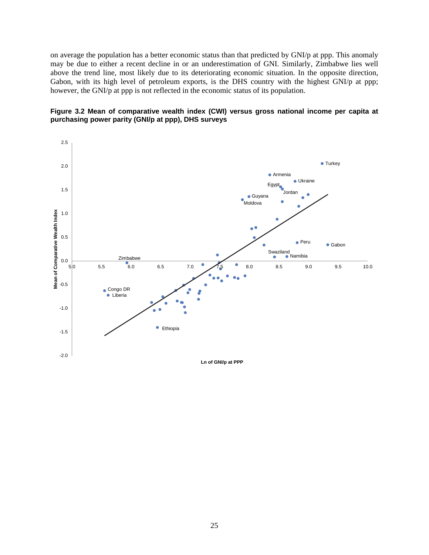on average the population has a better economic status than that predicted by GNI/p at ppp. This anomaly may be due to either a recent decline in or an underestimation of GNI. Similarly, Zimbabwe lies well above the trend line, most likely due to its deteriorating economic situation. In the opposite direction, Gabon, with its high level of petroleum exports, is the DHS country with the highest GNI/p at ppp; however, the GNI/p at ppp is not reflected in the economic status of its population.



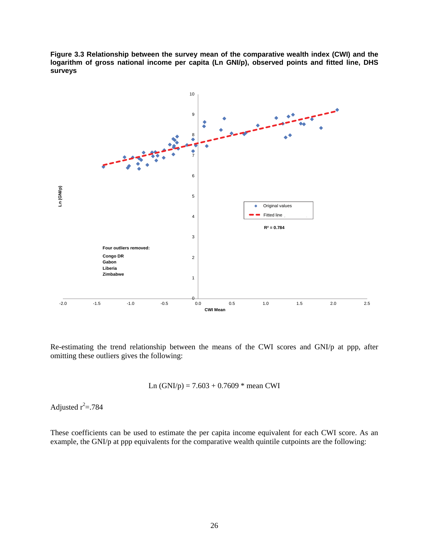**Figure 3.3 Relationship between the survey mean of the comparative wealth index (CWI) and the logarithm of gross national income per capita (Ln GNI/p), observed points and fitted line, DHS surveys** 



Re-estimating the trend relationship between the means of the CWI scores and GNI/p at ppp, after omitting these outliers gives the following:

Ln (GNI/p) = 
$$
7.603 + 0.7609
$$
 \* mean CWI

Adjusted  $r^2 = .784$ 

These coefficients can be used to estimate the per capita income equivalent for each CWI score. As an example, the GNI/p at ppp equivalents for the comparative wealth quintile cutpoints are the following: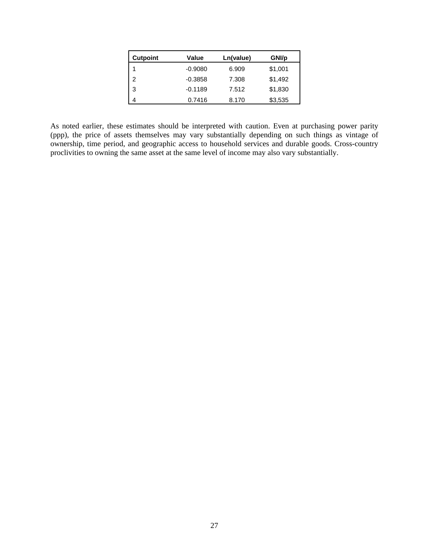| <b>Cutpoint</b> | Value     | Ln(value) | GNI/p   |
|-----------------|-----------|-----------|---------|
| 1               | $-0.9080$ | 6.909     | \$1,001 |
| $\overline{2}$  | $-0.3858$ | 7.308     | \$1,492 |
| 3               | $-0.1189$ | 7.512     | \$1,830 |
|                 | 0.7416    | 8.170     | \$3,535 |

As noted earlier, these estimates should be interpreted with caution. Even at purchasing power parity (ppp), the price of assets themselves may vary substantially depending on such things as vintage of ownership, time period, and geographic access to household services and durable goods. Cross-country proclivities to owning the same asset at the same level of income may also vary substantially.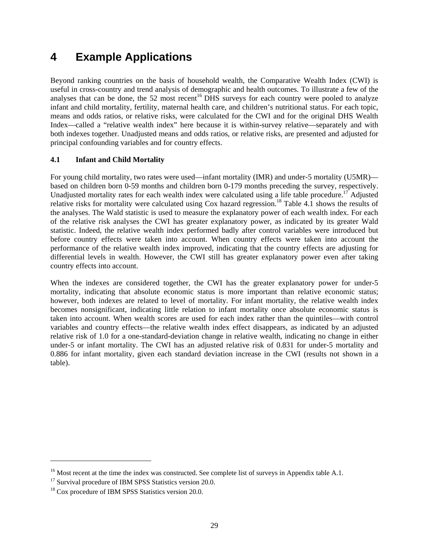## **4 Example Applications**

Beyond ranking countries on the basis of household wealth, the Comparative Wealth Index (CWI) is useful in cross-country and trend analysis of demographic and health outcomes. To illustrate a few of the analyses that can be done, the 52 most recent<sup>16</sup> DHS surveys for each country were pooled to analyze infant and child mortality, fertility, maternal health care, and children's nutritional status. For each topic, means and odds ratios, or relative risks, were calculated for the CWI and for the original DHS Wealth Index—called a "relative wealth index" here because it is within-survey relative—separately and with both indexes together. Unadjusted means and odds ratios, or relative risks, are presented and adjusted for principal confounding variables and for country effects.

#### **4.1 Infant and Child Mortality**

For young child mortality, two rates were used—infant mortality (IMR) and under-5 mortality (U5MR) based on children born 0-59 months and children born 0-179 months preceding the survey, respectively. Unadjusted mortality rates for each wealth index were calculated using a life table procedure.<sup>17</sup> Adjusted relative risks for mortality were calculated using Cox hazard regression.<sup>18</sup> Table 4.1 shows the results of the analyses. The Wald statistic is used to measure the explanatory power of each wealth index. For each of the relative risk analyses the CWI has greater explanatory power, as indicated by its greater Wald statistic. Indeed, the relative wealth index performed badly after control variables were introduced but before country effects were taken into account. When country effects were taken into account the performance of the relative wealth index improved, indicating that the country effects are adjusting for differential levels in wealth. However, the CWI still has greater explanatory power even after taking country effects into account.

When the indexes are considered together, the CWI has the greater explanatory power for under-5 mortality, indicating that absolute economic status is more important than relative economic status; however, both indexes are related to level of mortality. For infant mortality, the relative wealth index becomes nonsignificant, indicating little relation to infant mortality once absolute economic status is taken into account. When wealth scores are used for each index rather than the quintiles—with control variables and country effects—the relative wealth index effect disappears, as indicated by an adjusted relative risk of 1.0 for a one-standard-deviation change in relative wealth, indicating no change in either under-5 or infant mortality. The CWI has an adjusted relative risk of 0.831 for under-5 mortality and 0.886 for infant mortality, given each standard deviation increase in the CWI (results not shown in a table).

l

<sup>&</sup>lt;sup>16</sup> Most recent at the time the index was constructed. See complete list of surveys in Appendix table A.1. <sup>17</sup> Survival procedure of IBM SPSS Statistics version 20.0.

<sup>&</sup>lt;sup>18</sup> Cox procedure of IBM SPSS Statistics version 20.0.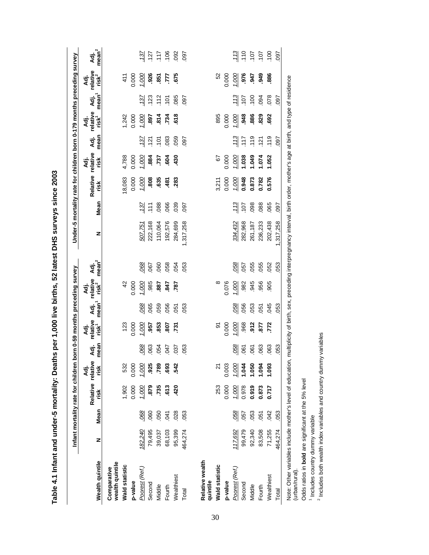|                                                                                                                                                                                     |         |             | Infant mortality rate for children |              |              |                                       |              | born 0-59 months preceding survey     |                           |           |                 | Under-5 mortality rate for children born 0-179 months preceding survey |                |                |                                       |                |                                        |                           |
|-------------------------------------------------------------------------------------------------------------------------------------------------------------------------------------|---------|-------------|------------------------------------|--------------|--------------|---------------------------------------|--------------|---------------------------------------|---------------------------|-----------|-----------------|------------------------------------------------------------------------|----------------|----------------|---------------------------------------|----------------|----------------------------------------|---------------------------|
| Wealth quintile                                                                                                                                                                     | z       | <b>Mean</b> | Relative relative<br>risk          | Āđj.<br>risk | mean<br>Āđj. | Adj.<br>relative<br>risk <sup>1</sup> | Adj.<br>mean | Adj.<br>relative<br>risk <sup>2</sup> | Adj.<br>mean <sup>2</sup> | z         | Mean            | Adj.<br>Relative relative<br>risk                                      | risk           | mean<br>Āđj.   | Adj.<br>relative<br>risk <sup>1</sup> | mean<br>Adj.   | Adj.<br>relative<br>'nisk <sup>2</sup> | Adj.<br>mean <sup>2</sup> |
| wealth quintile<br>Comparative                                                                                                                                                      |         |             |                                    |              |              |                                       |              |                                       |                           |           |                 |                                                                        |                |                |                                       |                |                                        |                           |
| Wald statistic                                                                                                                                                                      |         |             | 1,902                              | 532          |              | 123                                   |              | $\frac{2}{3}$                         |                           |           |                 | 18,083                                                                 | 4,788          |                | 1,242                                 |                | 411                                    |                           |
| p-value                                                                                                                                                                             |         |             | 0.000                              | 0.000        |              | 0.000                                 |              | 0.000                                 |                           |           |                 | 0.000                                                                  | 0.000          |                | 0.000                                 |                | 0.000                                  |                           |
| Poorest (Ref.)                                                                                                                                                                      | 182,240 | 068         | 1.000                              | 1.000        | 068          | 1.000                                 | 068          | 1.000                                 | 068                       | 507,751   | $\overline{37}$ | 1.000                                                                  | 1.000          | 137            | 1.000                                 | 137            | 1.000                                  | 137                       |
| Second                                                                                                                                                                              | 79,495  | 060         | 879                                | 925          | 063          | .957                                  | .065         | .985                                  | 067                       | 222,168   | .111            | 808.                                                                   | .884           | .121           | .897                                  | .123           | .926                                   |                           |
| Middle                                                                                                                                                                              | 39,037  | 050         | .735                               | <b>582</b>   | 054          | .853                                  | 059          | -887                                  | 060                       | 110,064   | .088            | .635                                                                   | 737            | $\frac{5}{10}$ |                                       |                | .851                                   |                           |
| Fourth                                                                                                                                                                              | 68,103  | 041         | 613                                | 693          | <b>LFO</b>   | 807                                   | 056          | 847                                   | 058                       | 192,576   | 066             | $-481$                                                                 | 604            | 083            | $\frac{24}{734}$                      | $112$<br>$101$ | ZТ.                                    | 127<br>117<br>106<br>1092 |
| Wealthiest                                                                                                                                                                          | 95,399  | .028        | 420                                | 542          | 037          | .731                                  | 051          | 787                                   | 054                       | 284,699   | 039             | .283                                                                   | 430            | 059            | 618                                   | 085            | 675                                    |                           |
| Total                                                                                                                                                                               | 464,274 | 053         |                                    |              | 053          |                                       | 053          |                                       | 053                       | 1,317,258 | 097             |                                                                        |                | 097            |                                       | 097            |                                        | 097                       |
|                                                                                                                                                                                     |         |             |                                    |              |              |                                       |              |                                       |                           |           |                 |                                                                        |                |                |                                       |                |                                        |                           |
| Relative wealth<br>quintile                                                                                                                                                         |         |             |                                    |              |              |                                       |              |                                       |                           |           |                 |                                                                        |                |                |                                       |                |                                        |                           |
| Wald statistic                                                                                                                                                                      |         |             | 253                                |              |              | $\overline{5}$                        |              |                                       |                           |           |                 | 3,211                                                                  | $\overline{6}$ |                | 895                                   |                | 52                                     |                           |
| p-value                                                                                                                                                                             |         |             | 0.000                              | 0.003        |              | 0.000                                 |              | 0.076                                 |                           |           |                 | 0.000                                                                  | 0.000          |                | 0.000                                 |                | 0.000                                  |                           |
| Poorest (Ref.)                                                                                                                                                                      | 117,692 | 058         | 1.000                              | 1.000        | 058          | 1.000                                 | 058          | 1.000                                 | 058                       | 334,432   | $\frac{113}{2}$ | 1.000                                                                  | 1.000          | 113            | 1.000                                 | 113            | 1.000                                  | 113                       |
| Second                                                                                                                                                                              | 99,479  | 057         | 0.978                              | 1.044        | 061          | 968                                   | .056         | .982                                  | 057                       | 282,968   | 107             | 0.948                                                                  | 1.038          | 117            | .948                                  | .107           | .976                                   |                           |
| Middle                                                                                                                                                                              | 92,340  | .053        | 0.919                              | 1.050        | 061          | 912                                   | .053         | .945                                  | 055                       | 261,187   | .098            | 0.873                                                                  | 1.049          | 119            | .886                                  | 100            | .947                                   | $100$<br>$107$            |
| Fourth                                                                                                                                                                              | 83,508  | .051        | 0.873                              | 1.094        | 063          | 577                                   | 051          | .956                                  | 055                       | 236,233   | .088            | 0.782                                                                  | 1.074          | 121            | .829                                  | 094            | 949                                    |                           |
| Wealthiest                                                                                                                                                                          | 71,255  | 042         | 0.717                              | 1.093        | 063          | 772                                   | 045          | 905                                   | 052                       | 202,438   | .065            | 0.576                                                                  | 1.052          | 119            | 692                                   | 078            | 886                                    | 100                       |
| Total                                                                                                                                                                               | 464,274 | 053         |                                    |              | 053          |                                       | .053         |                                       | 053                       | 317,258   | <b>L60</b>      |                                                                        |                | 097            |                                       | 097            |                                        | 097                       |
| Note: Other variables include mother's level of education, multiplicity of birth, sex, preceding interpregnancy interval, birth order, mother's age at birth, and type of residence |         |             |                                    |              |              |                                       |              |                                       |                           |           |                 |                                                                        |                |                |                                       |                |                                        |                           |

**Table 4.1 Infant and under-5 mortality: Deaths per 1,000 live births, 52 latest DHS surveys since 2003**  Table 4.1 Infant and under-5 mortality: Deaths per 1,000 live births, 52 latest DHS surveys since 2003

(urban/rural).

(urban/rural).

Odds ratios in **bold** are significant at the 5% level

Odds ratios in bold are significant at the 5% level

1 Includes country dummy variable

2 Includes both wealth index variables and country dummy variables

<sup>1</sup> Includes country dummy variable<br><sup>2</sup> Includes both wealth index variables and country dummy variables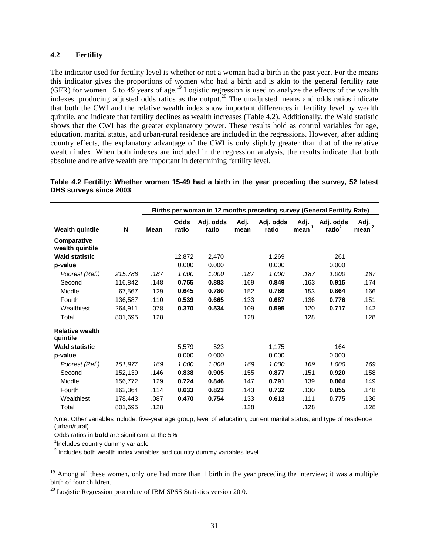#### **4.2 Fertility**

The indicator used for fertility level is whether or not a woman had a birth in the past year. For the means this indicator gives the proportions of women who had a birth and is akin to the general fertility rate (GFR) for women 15 to 49 years of age.<sup>19</sup> Logistic regression is used to analyze the effects of the wealth indexes, producing adjusted odds ratios as the output.20 The unadjusted means and odds ratios indicate that both the CWI and the relative wealth index show important differences in fertility level by wealth quintile, and indicate that fertility declines as wealth increases (Table 4.2). Additionally, the Wald statistic shows that the CWI has the greater explanatory power. These results hold as control variables for age, education, marital status, and urban-rural residence are included in the regressions. However, after adding country effects, the explanatory advantage of the CWI is only slightly greater than that of the relative wealth index. When both indexes are included in the regression analysis, the results indicate that both absolute and relative wealth are important in determining fertility level.

|                                    |         |      |               | Births per woman in 12 months preceding survey (General Fertility Rate) |              |                                 |                           |                                 |                                |
|------------------------------------|---------|------|---------------|-------------------------------------------------------------------------|--------------|---------------------------------|---------------------------|---------------------------------|--------------------------------|
| <b>Wealth quintile</b>             | N       | Mean | Odds<br>ratio | Adj. odds<br>ratio                                                      | Adj.<br>mean | Adj. odds<br>ratio <sup>1</sup> | Adj.<br>mean <sup>1</sup> | Adj. odds<br>ratio <sup>2</sup> | Adj.<br>$\overline{2}$<br>mean |
| Comparative<br>wealth quintile     |         |      |               |                                                                         |              |                                 |                           |                                 |                                |
| <b>Wald statistic</b>              |         |      | 12,872        | 2,470                                                                   |              | 1,269                           |                           | 261                             |                                |
| p-value                            |         |      | 0.000         | 0.000                                                                   |              | 0.000                           |                           | 0.000                           |                                |
| Poorest (Ref.)                     | 215,788 | .187 | 1.000         | 1.000                                                                   | .187         | 1.000                           | .187                      | 1.000                           | <u>.187</u>                    |
| Second                             | 116,842 | .148 | 0.755         | 0.883                                                                   | .169         | 0.849                           | .163                      | 0.915                           | .174                           |
| Middle                             | 67,567  | .129 | 0.645         | 0.780                                                                   | .152         | 0.786                           | .153                      | 0.864                           | .166                           |
| Fourth                             | 136,587 | .110 | 0.539         | 0.665                                                                   | .133         | 0.687                           | .136                      | 0.776                           | .151                           |
| Wealthiest                         | 264,911 | .078 | 0.370         | 0.534                                                                   | .109         | 0.595                           | .120                      | 0.717                           | .142                           |
| Total                              | 801,695 | .128 |               |                                                                         | .128         |                                 | .128                      |                                 | .128                           |
| <b>Relative wealth</b><br>quintile |         |      |               |                                                                         |              |                                 |                           |                                 |                                |
| <b>Wald statistic</b>              |         |      | 5,579         | 523                                                                     |              | 1,175                           |                           | 164                             |                                |
| p-value                            |         |      | 0.000         | 0.000                                                                   |              | 0.000                           |                           | 0.000                           |                                |
| Poorest (Ref.)                     | 151,977 | .169 | 1.000         | 1.000                                                                   | .169         | 1.000                           | .169                      | 1.000                           | <u>.169</u>                    |
| Second                             | 152,139 | .146 | 0.838         | 0.905                                                                   | .155         | 0.877                           | .151                      | 0.920                           | .158                           |
| Middle                             | 156,772 | .129 | 0.724         | 0.846                                                                   | .147         | 0.791                           | .139                      | 0.864                           | .149                           |
| Fourth                             | 162,364 | .114 | 0.633         | 0.823                                                                   | .143         | 0.732                           | .130                      | 0.855                           | .148                           |
| Wealthiest                         | 178,443 | .087 | 0.470         | 0.754                                                                   | .133         | 0.613                           | .111                      | 0.775                           | .136                           |
| Total                              | 801,695 | .128 |               |                                                                         | .128         |                                 | .128                      |                                 | .128                           |

**Table 4.2 Fertility: Whether women 15-49 had a birth in the year preceding the survey, 52 latest DHS surveys since 2003** 

Note: Other variables include: five-year age group, level of education, current marital status, and type of residence (urban/rural).

Odds ratios in **bold** are significant at the 5%

<sup>1</sup>Includes country dummy variable

l

 $2$  Includes both wealth index variables and country dummy variables level

 $20$  Logistic Regression procedure of IBM SPSS Statistics version 20.0.

<sup>&</sup>lt;sup>19</sup> Among all these women, only one had more than 1 birth in the year preceding the interview; it was a multiple birth of four children.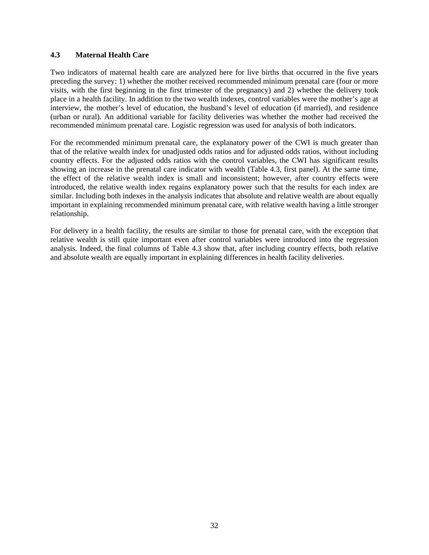#### **4.3 Maternal Health Care**

Two indicators of maternal health care are analyzed here for live births that occurred in the five years preceding the survey: 1) whether the mother received recommended minimum prenatal care (four or more visits, with the first beginning in the first trimester of the pregnancy) and 2) whether the delivery took place in a health facility. In addition to the two wealth indexes, control variables were the mother's age at interview, the mother's level of education, the husband's level of education (if married), and residence (urban or rural). An additional variable for facility deliveries was whether the mother had received the recommended minimum prenatal care. Logistic regression was used for analysis of both indicators.

For the recommended minimum prenatal care, the explanatory power of the CWI is much greater than that of the relative wealth index for unadjusted odds ratios and for adjusted odds ratios, without including country effects. For the adjusted odds ratios with the control variables, the CWI has significant results showing an increase in the prenatal care indicator with wealth (Table 4.3, first panel). At the same time, the effect of the relative wealth index is small and inconsistent; however, after country effects were introduced, the relative wealth index regains explanatory power such that the results for each index are similar. Including both indexes in the analysis indicates that absolute and relative wealth are about equally important in explaining recommended minimum prenatal care, with relative wealth having a little stronger relationship.

For delivery in a health facility, the results are similar to those for prenatal care, with the exception that relative wealth is still quite important even after control variables were introduced into the regression analysis. Indeed, the final columns of Table 4.3 show that, after including country effects, both relative and absolute wealth are equally important in explaining differences in health facility deliveries.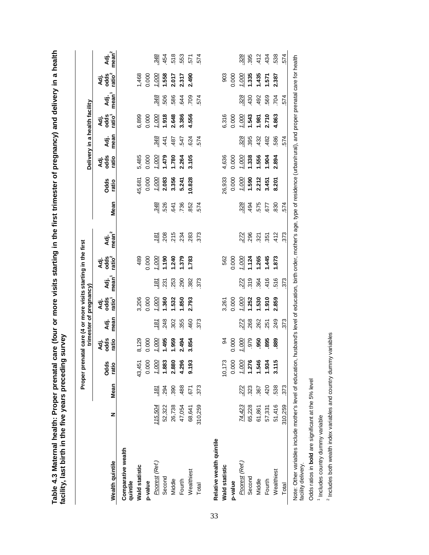|                                |         |      | Proper prenatal care (4 or more visits starting in the first |                          |               | trimester of pregnancy             |                           |                          |                           |      |                       |                      |               | Delivery in a health facility |              |                                  |                           |
|--------------------------------|---------|------|--------------------------------------------------------------|--------------------------|---------------|------------------------------------|---------------------------|--------------------------|---------------------------|------|-----------------------|----------------------|---------------|-------------------------------|--------------|----------------------------------|---------------------------|
| Wealth quintile                | z       | Mean | Odds<br>ratio                                                | odds<br>ratio<br>∡न<br>∢ | mean<br>₫.    | odds<br>ratio <sup>1</sup><br>Аđј. | mean <sup>1</sup><br>Āđj. | Adj.<br>odg <sup>2</sup> | Adj.<br>mean <sup>2</sup> | Mean | <b>Odds</b><br>ratio  | odds<br>ratio<br>Аä. | mean<br>Āđj.  | Adj.<br>caterial              | mean<br>ਤ੍ਰੋ | odds<br>ratio <sup>2</sup><br>₹ä | mean <sup>2</sup><br>र्व. |
| Comparative wealth<br>quintile |         |      |                                                              |                          |               |                                    |                           |                          |                           |      |                       |                      |               |                               |              |                                  |                           |
| <b>Wald statistic</b>          |         |      | 43,451                                                       | 8,129                    |               | 3,206                              |                           | 489                      |                           |      | 15,681                | 5,485                |               | 6,899                         |              | 1,468                            |                           |
| p-value                        |         |      | 0.000                                                        | 0.000                    |               | 0.000                              |                           | 0.000                    |                           |      | 0.000                 | 0.000                |               | 0.000                         |              | 0.000                            |                           |
| Poorest (Ref.)                 | 115,504 | 181  | $\frac{1.000}{1.883}$                                        | 1.000                    | $\frac{1}{8}$ | 000                                | $\overline{18}$           | 1.000                    | .181                      | .348 | $\frac{1.000}{2.083}$ | 1.000                | .348          | $\frac{1.000}{900.1}$         | 348          | $\frac{1.000}{1.558}$            | 348                       |
| Second                         | 52,322  | 294  |                                                              | 1.495                    | 248           | .360                               | $\overline{23}$           | 061.1                    | 208                       | 526  |                       | 1.479                | $\frac{4}{1}$ |                               | 506          |                                  | 454                       |
| Middle                         | 26,738  | 390  | 2.880                                                        | 1.959                    | 302           | 1.532                              | 253                       | 1.240                    | 215                       | 641  | 3.356                 | 1.780                | .487          | 2.648                         | 586          | 2.017                            | 518                       |
| Fourth                         | 47,054  | 488  | 4.296                                                        | 2.494                    | 355           | 1.850                              | 290                       | 1.379                    | 234                       | 736  | 5.241                 | 2.264                | 547           | 3.386                         | 644          | 2.317                            | 553                       |
| Wealthiest                     | 68,641  | 671  | 9.193                                                        | 3.854                    | 460           | 2.793                              | 382                       | 1.783                    | 283                       | 852  | 10.828                | 3.105                | 624           | 4.556                         | 709          | 2.490                            | 571                       |
| Total                          | 310,259 | 373  |                                                              |                          | 373           |                                    | 373                       |                          | 373                       | 574  |                       |                      | 574           |                               | 574          |                                  | 574                       |
| Relative wealth quintile       |         |      |                                                              |                          |               |                                    |                           |                          |                           |      |                       |                      |               |                               |              |                                  |                           |
| <b>Wald statistic</b>          |         |      | 10,173                                                       | 2                        |               | 3,261                              |                           | 562                      |                           |      | 26,933                | 4,636                |               | 6,316                         |              | 903                              |                           |
| p-value                        |         |      | 0.000                                                        | 0.000                    |               | 0.000                              |                           | 0.000                    |                           |      | 0.000                 | 0.000                |               | 0.000                         |              | 0.000                            |                           |
| Poorest (Ref.)                 | 74,423  | 272  | $\frac{1.000}{1.276}$                                        | 1.000                    | .272          | 1.000                              | 272                       | 1.000                    | .272                      | 328  | $\frac{1.000}{1.590}$ | 1.000                | .328          | 1.000                         | 328          | 1.000                            | 328                       |
| Second                         | 65,228  | 323  |                                                              | 979                      | 268           | 1.252                              | 319                       | 1.124                    | .296                      | 494  |                       | 1.338                | 395           | 1.543                         | 430          | 1.335                            | 395                       |
| Middle                         | 61,861  | 367  | 1.546                                                        | 950                      | 262           | 1.530                              | .364                      | 1.265                    | 321                       | 575  | 2.212                 | 1.556                | 432           | 1.981                         | 492          | 1.435                            | 412                       |
| Fourth                         | 57,331  | 420  | 1.934                                                        | 895                      | 251           | 1.910                              | 416                       | 1.445                    | 351                       | 577  | 3.451                 | 1.904                | 482           | 2.710                         | 569          | 1.571                            | 434                       |
| Wealthiest                     | 51,416  | 538  | ഥ<br>$\frac{1}{2}$                                           | 889                      | 249           | 2.859                              | 516                       | 1.873                    | 412                       | 830  | 8.201                 | 2.894                | 586           | 4.863                         | 704          | 2.387                            | 538                       |
| Total                          | 310,259 | 373  |                                                              |                          | 373           |                                    | 373                       |                          | 373                       | 574  |                       |                      | 574           |                               | 574          |                                  | 574                       |
|                                |         |      |                                                              |                          |               |                                    |                           |                          |                           |      |                       |                      |               |                               |              |                                  |                           |

Table 4.3 Maternal health: Proper prenatal care (four or more visits starting in the first trimester of pregnancy) and delivery in a health<br>facility, last birth in the five vears preceding survev **Table 4.3 Maternal health: Proper prenatal care (four or more visits starting in the first trimester of pregnancy) and delivery in a health** 

Note: Other variables include mother's level of education, husband's level of education, birth order, mother's age, type of residence (urban/rural), and proper prenatal care for health<br>facility delivery. Note: Other variables include mother's level of education, husband's level of education, birth order, mother's age, type of residence (urban/rural), and proper prenatal care for health facility delivery.

Odds ratios in **bold** are significant at the 5% level Odds ratios in **bold** are significant at the 5% level

<sup>1</sup> Includes country dummy variable 1 Includes country dummy variable <sup>2</sup> Includes both wealth index variables and country dummy variables 2 Includes both wealth index variables and country dummy variables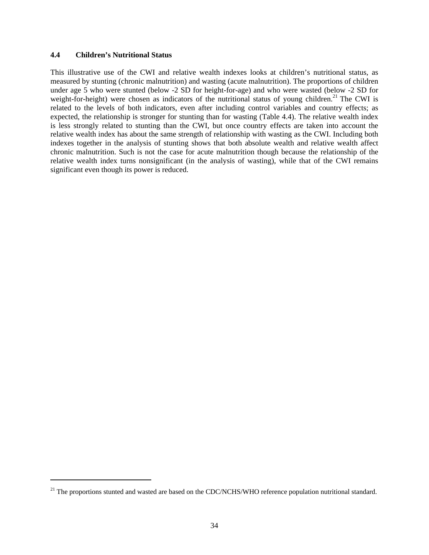#### **4.4 Children's Nutritional Status**

1

This illustrative use of the CWI and relative wealth indexes looks at children's nutritional status, as measured by stunting (chronic malnutrition) and wasting (acute malnutrition). The proportions of children under age 5 who were stunted (below -2 SD for height-for-age) and who were wasted (below -2 SD for weight-for-height) were chosen as indicators of the nutritional status of young children.<sup>21</sup> The CWI is related to the levels of both indicators, even after including control variables and country effects; as expected, the relationship is stronger for stunting than for wasting (Table 4.4). The relative wealth index is less strongly related to stunting than the CWI, but once country effects are taken into account the relative wealth index has about the same strength of relationship with wasting as the CWI. Including both indexes together in the analysis of stunting shows that both absolute wealth and relative wealth affect chronic malnutrition. Such is not the case for acute malnutrition though because the relationship of the relative wealth index turns nonsignificant (in the analysis of wasting), while that of the CWI remains significant even though its power is reduced.

 $21$  The proportions stunted and wasted are based on the CDC/NCHS/WHO reference population nutritional standard.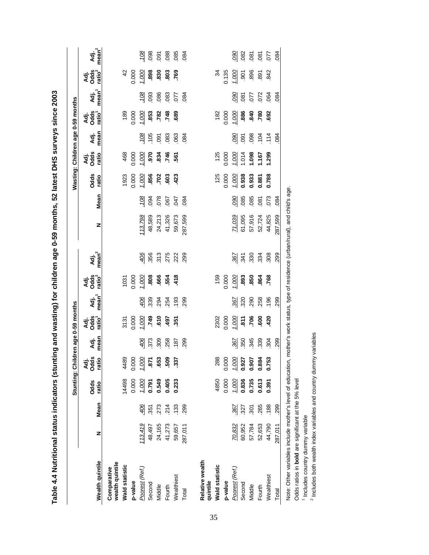|                                                                                                                                   |         |      |                      |                       |              | Stunting: Children age 0-59 months |              |                           |                           |                  |                 | Wasting: Children age 0-59 months |                       |                         |                       |                        |                           |                           |
|-----------------------------------------------------------------------------------------------------------------------------------|---------|------|----------------------|-----------------------|--------------|------------------------------------|--------------|---------------------------|---------------------------|------------------|-----------------|-----------------------------------|-----------------------|-------------------------|-----------------------|------------------------|---------------------------|---------------------------|
| Wealth quintile                                                                                                                   | z       | Mean | <b>Odds</b><br>ratio | Adj.<br>Odds<br>ratio | mean<br>Adj. | Adj.<br>Odds<br>ratio              | Adj.<br>mean | Adj.<br>Odds <sup>2</sup> | Adj.<br>mean <sup>2</sup> | z                | Mean            | <b>Odds</b><br>ratio              | Adj.<br>Odds<br>ratio | Adj.<br>mean            | Adj.<br>Odds<br>ratio | Adj.<br>mean           | Adj.<br>Odds <sup>2</sup> | Adj.<br>mean <sup>2</sup> |
| wealth quintile<br>Comparative                                                                                                    |         |      |                      |                       |              |                                    |              |                           |                           |                  |                 |                                   |                       |                         |                       |                        |                           |                           |
| <b>Wald statistic</b>                                                                                                             |         |      | 14498                | 4489                  |              | 3131                               |              | 1031                      |                           |                  |                 | 1923                              | 468                   |                         | 189                   |                        | $\frac{2}{3}$             |                           |
| p-value                                                                                                                           |         |      | 0.000                | 0.000                 |              |                                    |              |                           |                           |                  |                 | 0.000                             | 0.000                 |                         | 0.000                 |                        | 0.000                     |                           |
| Poorest (Ref.)                                                                                                                    | 113,419 | 406  | 1.000                | $\frac{1000}{871}$    |              | $rac{662}{00010}$                  |              | 0.000                     |                           | 113,798          | $\frac{108}{2}$ | 1.000                             | $rac{0.000}{000.1}$   |                         |                       |                        | 1.000                     |                           |
| Second                                                                                                                            | 48,497  | 351  | 0.791                |                       | 406          |                                    | 406          | .808                      | 406                       | 48,589           | 094             | .856                              |                       | $\frac{108}{105}$       | $\frac{000}{0001}$    | $rac{108}{801}$        | 898.                      | $rac{108}{801}$           |
| Middle                                                                                                                            | 24,165  | 273  | 0.549                |                       | 309          |                                    | 294          | .666                      |                           | 24,213           | 078             |                                   |                       | 091                     |                       |                        | .830                      |                           |
| Fourth                                                                                                                            | 41,273  | .214 | 0.405                | 509.                  | 258          | 016.<br>016.                       |              | .554                      | 375<br>278<br>289         | 41,326           | 067             | $.702$<br>$.603$                  | 834<br>746<br>561     |                         | $.782$<br>$.748$      | 88<br>083<br>77<br>784 | .803                      | <b>988</b>                |
| Wealthiest                                                                                                                        | 59,657  | 133  | 0.233                | .337                  | 187          | .351                               | 254<br>193   | 418                       |                           | 59,673           | 047             | .423                              |                       | 83<br>83<br>84          | 689                   |                        | 769                       |                           |
| Total                                                                                                                             | 287,011 | 299  |                      |                       | 299          |                                    | 299          |                           |                           | 287,599          | 084             |                                   |                       |                         |                       |                        |                           | 084                       |
|                                                                                                                                   |         |      |                      |                       |              |                                    |              |                           |                           |                  |                 |                                   |                       |                         |                       |                        |                           |                           |
| Relative wealth<br>quintile                                                                                                       |         |      |                      |                       |              |                                    |              |                           |                           |                  |                 |                                   |                       |                         |                       |                        |                           |                           |
| <b>Wald statistic</b>                                                                                                             |         |      | 4850                 | 288                   |              |                                    |              |                           |                           |                  |                 | 125                               | 125                   |                         |                       |                        | $\mathfrak{p}$            |                           |
| p-value                                                                                                                           |         |      | 0.000                | 0.000                 |              | 2302<br>0.000                      |              | 159<br>0.000              |                           |                  |                 | 0.000                             | 0.000                 |                         | $182$<br>$0.000$      |                        | 0.135                     |                           |
| Poorest (Ref.)                                                                                                                    | 70,832  | 367  | 1.000                | $\frac{1.000}{0.927}$ | 367          | 1.000                              | 367          | 1.000                     | 367                       | 71,039<br>61,095 | 090             | $\frac{1.000}{9.938}$             | $\frac{1.000}{1.014}$ | 080                     | 1.000                 | <u>090</u>             | 1.000                     |                           |
| Second                                                                                                                            | 60,952  | 327  | 0.836                |                       | 350          | $rac{2}{11}$                       | 320          | .893                      | 341                       |                  | .085            |                                   |                       | 60                      | .886                  | $-081$                 | $-901$                    |                           |
| Middle                                                                                                                            | 57,784  | 301  | 0.735                | 0.907                 | 345          |                                    | 290          | .850                      | 330                       | 57,916           | .085            | 0.933                             | 1.098                 | 098                     | .840                  |                        | .896                      |                           |
| Fourth                                                                                                                            | 52,653  | .265 | 0.613                | 0.884                 | 339          | 600                                | 258          | .864                      | 334                       | 52,724           | 081             | 0.881                             | 1.167                 | $rac{1}{2}$ $rac{1}{4}$ | .780                  |                        | .891                      |                           |
| Wealthiest                                                                                                                        | 44,790  | 188  | 0.391                | 0.753                 | 304          | 420                                | 196          | 768                       | 308                       | 44,825           | 073             | 0.788                             | 1.299                 |                         | 692                   |                        | 842                       |                           |
| Total                                                                                                                             | 287,011 | 299  |                      |                       | 299          |                                    | 299          |                           | 299                       | 287,599          | .084            |                                   |                       | 084                     |                       | 084                    |                           | 084                       |
| Note: Other variables include mother's level of education, mother's work status, type of residence (urban/rural), and child's age |         |      |                      |                       |              |                                    |              |                           |                           |                  |                 |                                   |                       |                         |                       |                        |                           |                           |

Table 4.4 Nutritional status indicators (stunting and wasting) for children age 0-59 months, 52 latest DHS surveys since 2003 **Table 4.4 Nutritional status indicators (stunting and wasting) for children age 0-59 months, 52 latest DHS surveys since 2003** 

Odds ratios in **bold** are significant at the 5% level

Odds ratios in bold are significant at the 5% level

1 Includes country dummy variable

2 Includes both wealth index variables and country dummy variables

<sup>1</sup> Includes country dummy variable<br><sup>2</sup> Includes both wealth index variables and country dummy variables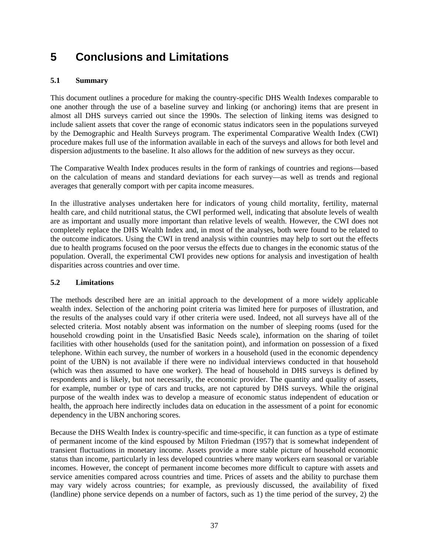## **5 Conclusions and Limitations**

#### **5.1 Summary**

This document outlines a procedure for making the country-specific DHS Wealth Indexes comparable to one another through the use of a baseline survey and linking (or anchoring) items that are present in almost all DHS surveys carried out since the 1990s. The selection of linking items was designed to include salient assets that cover the range of economic status indicators seen in the populations surveyed by the Demographic and Health Surveys program. The experimental Comparative Wealth Index (CWI) procedure makes full use of the information available in each of the surveys and allows for both level and dispersion adjustments to the baseline. It also allows for the addition of new surveys as they occur.

The Comparative Wealth Index produces results in the form of rankings of countries and regions—based on the calculation of means and standard deviations for each survey—as well as trends and regional averages that generally comport with per capita income measures.

In the illustrative analyses undertaken here for indicators of young child mortality, fertility, maternal health care, and child nutritional status, the CWI performed well, indicating that absolute levels of wealth are as important and usually more important than relative levels of wealth. However, the CWI does not completely replace the DHS Wealth Index and, in most of the analyses, both were found to be related to the outcome indicators. Using the CWI in trend analysis within countries may help to sort out the effects due to health programs focused on the poor versus the effects due to changes in the economic status of the population. Overall, the experimental CWI provides new options for analysis and investigation of health disparities across countries and over time.

#### **5.2 Limitations**

The methods described here are an initial approach to the development of a more widely applicable wealth index. Selection of the anchoring point criteria was limited here for purposes of illustration, and the results of the analyses could vary if other criteria were used. Indeed, not all surveys have all of the selected criteria. Most notably absent was information on the number of sleeping rooms (used for the household crowding point in the Unsatisfied Basic Needs scale), information on the sharing of toilet facilities with other households (used for the sanitation point), and information on possession of a fixed telephone. Within each survey, the number of workers in a household (used in the economic dependency point of the UBN) is not available if there were no individual interviews conducted in that household (which was then assumed to have one worker). The head of household in DHS surveys is defined by respondents and is likely, but not necessarily, the economic provider. The quantity and quality of assets, for example, number or type of cars and trucks, are not captured by DHS surveys. While the original purpose of the wealth index was to develop a measure of economic status independent of education or health, the approach here indirectly includes data on education in the assessment of a point for economic dependency in the UBN anchoring scores.

Because the DHS Wealth Index is country-specific and time-specific, it can function as a type of estimate of permanent income of the kind espoused by Milton Friedman (1957) that is somewhat independent of transient fluctuations in monetary income. Assets provide a more stable picture of household economic status than income, particularly in less developed countries where many workers earn seasonal or variable incomes. However, the concept of permanent income becomes more difficult to capture with assets and service amenities compared across countries and time. Prices of assets and the ability to purchase them may vary widely across countries; for example, as previously discussed, the availability of fixed (landline) phone service depends on a number of factors, such as 1) the time period of the survey, 2) the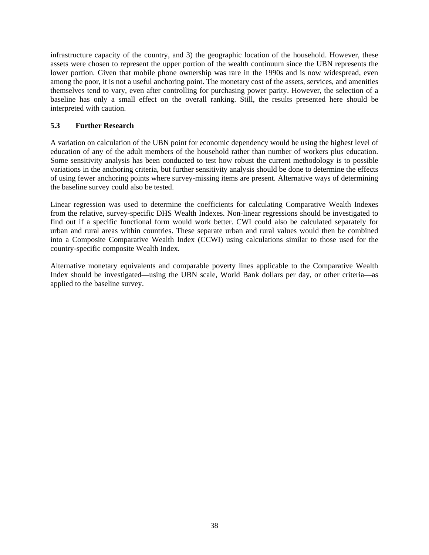infrastructure capacity of the country, and 3) the geographic location of the household. However, these assets were chosen to represent the upper portion of the wealth continuum since the UBN represents the lower portion. Given that mobile phone ownership was rare in the 1990s and is now widespread, even among the poor, it is not a useful anchoring point. The monetary cost of the assets, services, and amenities themselves tend to vary, even after controlling for purchasing power parity. However, the selection of a baseline has only a small effect on the overall ranking. Still, the results presented here should be interpreted with caution.

#### **5.3 Further Research**

A variation on calculation of the UBN point for economic dependency would be using the highest level of education of any of the adult members of the household rather than number of workers plus education. Some sensitivity analysis has been conducted to test how robust the current methodology is to possible variations in the anchoring criteria, but further sensitivity analysis should be done to determine the effects of using fewer anchoring points where survey-missing items are present. Alternative ways of determining the baseline survey could also be tested.

Linear regression was used to determine the coefficients for calculating Comparative Wealth Indexes from the relative, survey-specific DHS Wealth Indexes. Non-linear regressions should be investigated to find out if a specific functional form would work better. CWI could also be calculated separately for urban and rural areas within countries. These separate urban and rural values would then be combined into a Composite Comparative Wealth Index (CCWI) using calculations similar to those used for the country-specific composite Wealth Index.

Alternative monetary equivalents and comparable poverty lines applicable to the Comparative Wealth Index should be investigated—using the UBN scale, World Bank dollars per day, or other criteria—as applied to the baseline survey.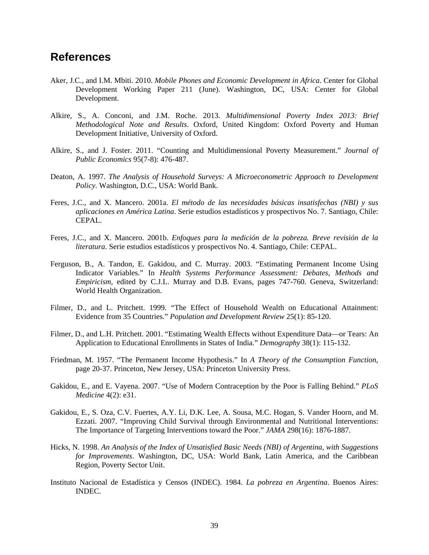### **References**

- Aker, J.C., and I.M. Mbiti. 2010. *Mobile Phones and Economic Development in Africa*. Center for Global Development Working Paper 211 (June). Washington, DC, USA: Center for Global Development.
- Alkire, S., A. Conconi, and J.M. Roche. 2013. *Multidimensional Poverty Index 2013: Brief Methodological Note and Results*. Oxford, United Kingdom: Oxford Poverty and Human Development Initiative, University of Oxford.
- Alkire, S., and J. Foster. 2011. "Counting and Multidimensional Poverty Measurement." *Journal of Public Economics* 95(7-8): 476-487.
- Deaton, A. 1997. *The Analysis of Household Surveys: A Microeconometric Approach to Development Policy*. Washington, D.C., USA: World Bank.
- Feres, J.C., and X. Mancero. 2001a. *El método de las necesidades básicas insatisfechas (NBI) y sus aplicaciones en América Latina*. Serie estudios estadísticos y prospectivos No. 7. Santiago, Chile: CEPAL.
- Feres, J.C., and X. Mancero. 2001b. *Enfoques para la medición de la pobreza. Breve revisión de la literatura*. Serie estudios estadísticos y prospectivos No. 4. Santiago, Chile: CEPAL.
- Ferguson, B., A. Tandon, E. Gakidou, and C. Murray. 2003. "Estimating Permanent Income Using Indicator Variables." In *Health Systems Performance Assessment: Debates, Methods and Empiricism*, edited by C.J.L. Murray and D.B. Evans, pages 747-760. Geneva, Switzerland: World Health Organization.
- Filmer, D., and L. Pritchett. 1999. "The Effect of Household Wealth on Educational Attainment: Evidence from 35 Countries." *Population and Development Review* 25(1): 85-120.
- Filmer, D., and L.H. Pritchett. 2001. "Estimating Wealth Effects without Expenditure Data—or Tears: An Application to Educational Enrollments in States of India." *Demography* 38(1): 115-132.
- Friedman, M. 1957. "The Permanent Income Hypothesis." In *A Theory of the Consumption Function*, page 20-37. Princeton, New Jersey, USA: Princeton University Press.
- Gakidou, E., and E. Vayena. 2007. "Use of Modern Contraception by the Poor is Falling Behind." *PLoS Medicine* 4(2): e31.
- Gakidou, E., S. Oza, C.V. Fuertes, A.Y. Li, D.K. Lee, A. Sousa, M.C. Hogan, S. Vander Hoorn, and M. Ezzati. 2007. "Improving Child Survival through Environmental and Nutritional Interventions: The Importance of Targeting Interventions toward the Poor." *JAMA* 298(16): 1876-1887.
- Hicks, N. 1998. *An Analysis of the Index of Unsatisfied Basic Needs (NBI) of Argentina, with Suggestions for Improvements*. Washington, DC, USA: World Bank, Latin America, and the Caribbean Region, Poverty Sector Unit.
- Instituto Nacional de Estadística y Censos (INDEC). 1984. *La pobreza en Argentina*. Buenos Aires: INDEC.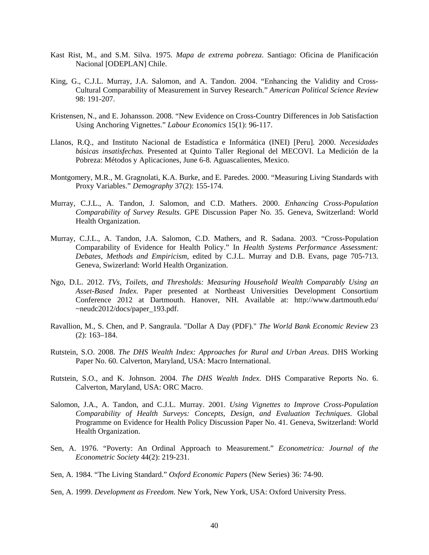- Kast Rist, M., and S.M. Silva. 1975. *Mapa de extrema pobreza*. Santiago: Oficina de Planificación Nacional [ODEPLAN] Chile.
- King, G., C.J.L. Murray, J.A. Salomon, and A. Tandon. 2004. "Enhancing the Validity and Cross-Cultural Comparability of Measurement in Survey Research." *American Political Science Review* 98: 191-207.
- Kristensen, N., and E. Johansson. 2008. "New Evidence on Cross-Country Differences in Job Satisfaction Using Anchoring Vignettes." *Labour Economics* 15(1): 96-117.
- Llanos, R.Q., and Instituto Nacional de Estadística e Informática (INEI) [Peru]. 2000. *Necesidades básicas insatisfechas.* Presented at Quinto Taller Regional del MECOVI. La Medición de la Pobreza: Métodos y Aplicaciones, June 6-8. Aguascalientes, Mexico.
- Montgomery, M.R., M. Gragnolati, K.A. Burke, and E. Paredes. 2000. "Measuring Living Standards with Proxy Variables." *Demography* 37(2): 155-174.
- Murray, C.J.L., A. Tandon, J. Salomon, and C.D. Mathers. 2000. *Enhancing Cross-Population Comparability of Survey Results*. GPE Discussion Paper No. 35. Geneva, Switzerland: World Health Organization.
- Murray, C.J.L., A. Tandon, J.A. Salomon, C.D. Mathers, and R. Sadana. 2003. "Cross-Population Comparability of Evidence for Health Policy." In *Health Systems Performance Assessment: Debates, Methods and Empiricism*, edited by C.J.L. Murray and D.B. Evans, page 705-713. Geneva, Swizerland: World Health Organization.
- Ngo, D.L. 2012. *TVs, Toilets, and Thresholds: Measuring Household Wealth Comparably Using an Asset-Based Index.* Paper presented at Northeast Universities Development Consortium Conference 2012 at Dartmouth. Hanover, NH. Available at: http://www.dartmouth.edu/ ~neudc2012/docs/paper\_193.pdf.
- Ravallion, M., S. Chen, and P. Sangraula. "Dollar A Day (PDF)." *The World Bank Economic Review* 23 (2): 163–184.
- Rutstein, S.O. 2008. *The DHS Wealth Index: Approaches for Rural and Urban Areas*. DHS Working Paper No. 60. Calverton, Maryland, USA: Macro International.
- Rutstein, S.O., and K. Johnson. 2004. *The DHS Wealth Index*. DHS Comparative Reports No. 6. Calverton, Maryland, USA: ORC Macro.
- Salomon, J.A., A. Tandon, and C.J.L. Murray. 2001. *Using Vignettes to Improve Cross-Population Comparability of Health Surveys: Concepts, Design, and Evaluation Techniques*. Global Programme on Evidence for Health Policy Discussion Paper No. 41. Geneva, Switzerland: World Health Organization.
- Sen, A. 1976. "Poverty: An Ordinal Approach to Measurement." *Econometrica: Journal of the Econometric Society* 44(2): 219-231.

Sen, A. 1984. "The Living Standard." *Oxford Economic Papers* (New Series) 36: 74-90.

Sen, A. 1999. *Development as Freedom*. New York, New York, USA: Oxford University Press.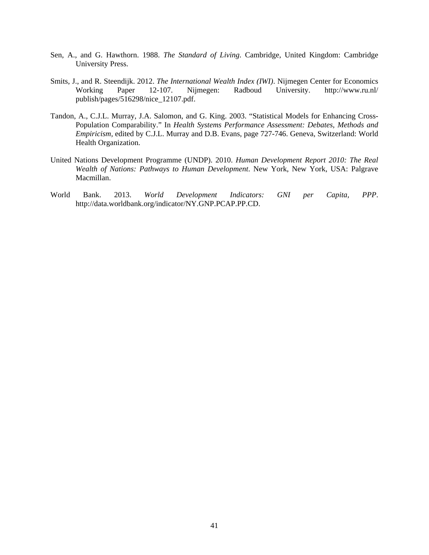- Sen, A., and G. Hawthorn. 1988. *The Standard of Living*. Cambridge, United Kingdom: Cambridge University Press.
- Smits, J., and R. Steendijk. 2012. *The International Wealth Index (IWI)*. Nijmegen Center for Economics Working Paper 12-107. Nijmegen: Radboud University. http://www.ru.nl/ publish/pages/516298/nice\_12107.pdf.
- Tandon, A., C.J.L. Murray, J.A. Salomon, and G. King. 2003. "Statistical Models for Enhancing Cross-Population Comparability." In *Health Systems Performance Assessment: Debates, Methods and Empiricism,* edited by C.J.L. Murray and D.B. Evans, page 727-746. Geneva, Switzerland: World Health Organization.
- United Nations Development Programme (UNDP). 2010. *Human Development Report 2010: The Real Wealth of Nations: Pathways to Human Development*. New York, New York, USA: Palgrave Macmillan.
- World Bank. 2013. *World Development Indicators: GNI per Capita, PPP*. http://data.worldbank.org/indicator/NY.GNP.PCAP.PP.CD.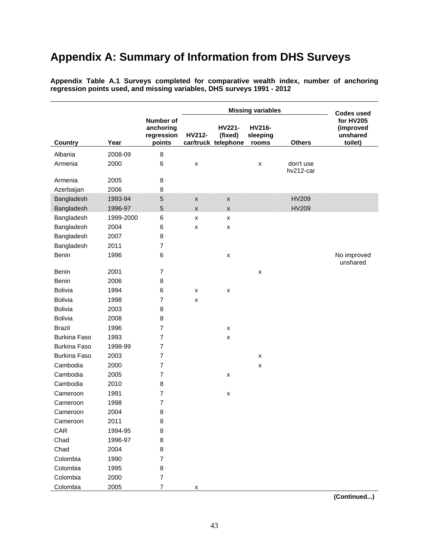## **Appendix A: Summary of Information from DHS Surveys**

|                     |           |                                                |                    |                                          | <b>Missing variables</b>    |                        | <b>Codes used</b>                             |
|---------------------|-----------|------------------------------------------------|--------------------|------------------------------------------|-----------------------------|------------------------|-----------------------------------------------|
| <b>Country</b>      | Year      | Number of<br>anchoring<br>regression<br>points | HV212-             | HV221-<br>(fixed)<br>car/truck telephone | HV216-<br>sleeping<br>rooms | <b>Others</b>          | for HV205<br>(improved<br>unshared<br>toilet) |
| Albania             | 2008-09   | 8                                              |                    |                                          |                             |                        |                                               |
| Armenia             | 2000      | 6                                              | X                  |                                          | x                           | don't use<br>hv212-car |                                               |
| Armenia             | 2005      | 8                                              |                    |                                          |                             |                        |                                               |
| Azerbaijan          | 2006      | 8                                              |                    |                                          |                             |                        |                                               |
| Bangladesh          | 1993-94   | 5                                              | $\pmb{\mathsf{x}}$ | $\pmb{\mathsf{x}}$                       |                             | <b>HV209</b>           |                                               |
| Bangladesh          | 1996-97   | 5                                              | $\mathsf{x}$       | X                                        |                             | <b>HV209</b>           |                                               |
| Bangladesh          | 1999-2000 | 6                                              | X                  | x                                        |                             |                        |                                               |
| Bangladesh          | 2004      | 6                                              | x                  | x                                        |                             |                        |                                               |
| Bangladesh          | 2007      | 8                                              |                    |                                          |                             |                        |                                               |
| Bangladesh          | 2011      | $\overline{7}$                                 |                    |                                          |                             |                        |                                               |
| Benin               | 1996      | 6                                              |                    | $\pmb{\times}$                           |                             |                        | No improved                                   |
|                     |           |                                                |                    |                                          |                             |                        | unshared                                      |
| <b>Benin</b>        | 2001      | $\overline{7}$                                 |                    |                                          | x                           |                        |                                               |
| Benin               | 2006      | 8                                              |                    |                                          |                             |                        |                                               |
| <b>Bolivia</b>      | 1994      | 6                                              | X                  | X                                        |                             |                        |                                               |
| <b>Bolivia</b>      | 1998      | $\overline{7}$                                 | x                  |                                          |                             |                        |                                               |
| <b>Bolivia</b>      | 2003      | 8                                              |                    |                                          |                             |                        |                                               |
| <b>Bolivia</b>      | 2008      | 8                                              |                    |                                          |                             |                        |                                               |
| <b>Brazil</b>       | 1996      | $\overline{7}$                                 |                    | $\pmb{\times}$                           |                             |                        |                                               |
| <b>Burkina Faso</b> | 1993      | 7                                              |                    | X                                        |                             |                        |                                               |
| <b>Burkina Faso</b> | 1998-99   | 7                                              |                    |                                          |                             |                        |                                               |
| <b>Burkina Faso</b> | 2003      | 7                                              |                    |                                          | x                           |                        |                                               |
| Cambodia            | 2000      | 7                                              |                    |                                          | x                           |                        |                                               |
| Cambodia            | 2005      | $\overline{7}$                                 |                    | x                                        |                             |                        |                                               |
| Cambodia            | 2010      | 8                                              |                    |                                          |                             |                        |                                               |
| Cameroon            | 1991      | 7                                              |                    | X                                        |                             |                        |                                               |
| Cameroon            | 1998      | $\overline{7}$                                 |                    |                                          |                             |                        |                                               |
| Cameroon            | 2004      | 8                                              |                    |                                          |                             |                        |                                               |
| Cameroon            | 2011      | 8                                              |                    |                                          |                             |                        |                                               |
| CAR                 | 1994-95   | 8                                              |                    |                                          |                             |                        |                                               |
| Chad                | 1996-97   | 8                                              |                    |                                          |                             |                        |                                               |
| Chad                | 2004      | 8                                              |                    |                                          |                             |                        |                                               |
| Colombia            | 1990      | $\overline{7}$                                 |                    |                                          |                             |                        |                                               |
| Colombia            | 1995      | 8                                              |                    |                                          |                             |                        |                                               |

**Appendix Table A.1 Surveys completed for comparative wealth index, number of anchoring regression points used, and missing variables, DHS surveys 1991 - 2012** 

**(Continued...)**

Colombia 2000 7

Colombia 2005 7 x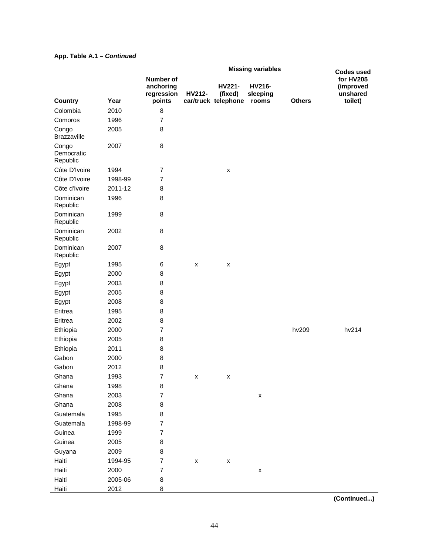#### **App. Table A.1 –** *Continued*

|                                 |         |                                                | <b>Missing variables</b> |                                          |                             |               | <b>Codes used</b>                             |
|---------------------------------|---------|------------------------------------------------|--------------------------|------------------------------------------|-----------------------------|---------------|-----------------------------------------------|
| <b>Country</b>                  | Year    | Number of<br>anchoring<br>regression<br>points | HV212-                   | HV221-<br>(fixed)<br>car/truck telephone | HV216-<br>sleeping<br>rooms | <b>Others</b> | for HV205<br>(improved<br>unshared<br>toilet) |
| Colombia                        | 2010    | 8                                              |                          |                                          |                             |               |                                               |
| Comoros                         | 1996    | $\overline{7}$                                 |                          |                                          |                             |               |                                               |
| Congo<br><b>Brazzaville</b>     | 2005    | 8                                              |                          |                                          |                             |               |                                               |
| Congo<br>Democratic<br>Republic | 2007    | 8                                              |                          |                                          |                             |               |                                               |
| Côte D'Ivoire                   | 1994    | 7                                              |                          | $\pmb{\mathsf{x}}$                       |                             |               |                                               |
| Côte D'Ivoire                   | 1998-99 | $\overline{7}$                                 |                          |                                          |                             |               |                                               |
| Côte d'Ivoire                   | 2011-12 | 8                                              |                          |                                          |                             |               |                                               |
| Dominican<br>Republic           | 1996    | 8                                              |                          |                                          |                             |               |                                               |
| Dominican<br>Republic           | 1999    | 8                                              |                          |                                          |                             |               |                                               |
| Dominican<br>Republic           | 2002    | 8                                              |                          |                                          |                             |               |                                               |
| Dominican<br>Republic           | 2007    | 8                                              |                          |                                          |                             |               |                                               |
| Egypt                           | 1995    | 6                                              | $\pmb{\mathsf{x}}$       | $\pmb{\mathsf{x}}$                       |                             |               |                                               |
| Egypt                           | 2000    | 8                                              |                          |                                          |                             |               |                                               |
| Egypt                           | 2003    | 8                                              |                          |                                          |                             |               |                                               |
| Egypt                           | 2005    | 8                                              |                          |                                          |                             |               |                                               |
| Egypt                           | 2008    | 8                                              |                          |                                          |                             |               |                                               |
| Eritrea                         | 1995    | 8                                              |                          |                                          |                             |               |                                               |
| Eritrea                         | 2002    | 8                                              |                          |                                          |                             |               |                                               |
| Ethiopia                        | 2000    | $\overline{7}$                                 |                          |                                          |                             | hv209         | hv214                                         |
| Ethiopia                        | 2005    | 8                                              |                          |                                          |                             |               |                                               |
| Ethiopia                        | 2011    | 8                                              |                          |                                          |                             |               |                                               |
| Gabon                           | 2000    | 8                                              |                          |                                          |                             |               |                                               |
| Gabon                           | 2012    | 8                                              |                          |                                          |                             |               |                                               |
| Ghana                           | 1993    | $\overline{\mathbf{7}}$                        | x                        | x                                        |                             |               |                                               |
| Ghana                           | 1998    | 8                                              |                          |                                          |                             |               |                                               |
| Ghana                           | 2003    | $\overline{\mathbf{7}}$                        |                          |                                          | $\pmb{\mathsf{x}}$          |               |                                               |
| Ghana                           | 2008    | 8                                              |                          |                                          |                             |               |                                               |
| Guatemala                       | 1995    | 8                                              |                          |                                          |                             |               |                                               |
| Guatemala                       | 1998-99 | $\overline{\mathbf{7}}$                        |                          |                                          |                             |               |                                               |
| Guinea                          | 1999    | $\overline{7}$                                 |                          |                                          |                             |               |                                               |
| Guinea                          | 2005    | 8                                              |                          |                                          |                             |               |                                               |
| Guyana                          | 2009    | 8                                              |                          |                                          |                             |               |                                               |
| Haiti                           | 1994-95 | $\overline{7}$                                 | $\pmb{\mathsf{X}}$       | $\pmb{\mathsf{X}}$                       |                             |               |                                               |
| Haiti                           | 2000    | $\overline{\mathbf{7}}$                        |                          |                                          | $\pmb{\mathsf{X}}$          |               |                                               |
| Haiti                           | 2005-06 | 8                                              |                          |                                          |                             |               |                                               |
| Haiti                           | 2012    | 8                                              |                          |                                          |                             |               |                                               |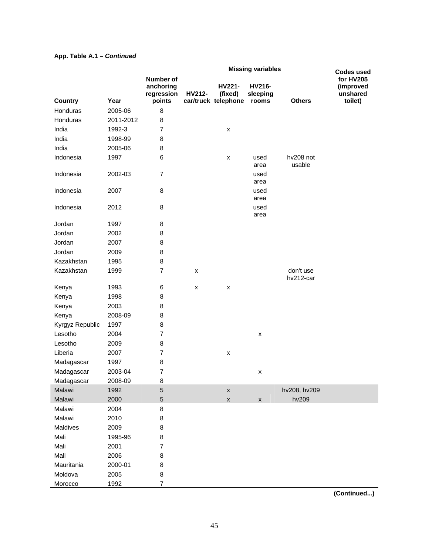#### **Country Year Number of anchoring regression points**  Missing variables **Codes** used **for HV205 (improved unshared toilet) HV212 car/truck telephone HV221- (fixed) HV216 sleeping Others** Honduras 2005-06 8 Honduras 2011-2012 8 India 1992-3 7 x India 1998-99 8 India 2005-06 8 Indonesia 1997 6 x used area hv208 not usable Indonesia 2002-03 7 used area Indonesia 2007 8 used area Indonesia 2012 8 used area Jordan 1997 8 Jordan 2002 8 Jordan 2007 8 Jordan 2009 8 Kazakhstan 1995 8 Kazakhstan 1999 7 x don't use hv212-car Kenya 1993 6 x x Kenya 1998 8 Kenya 2003 8 Kenya 2008-09 8 Kyrgyz Republic 1997 8 Lesotho 2004 7 x Lesotho 2009 8 Liberia 2007 7 x Madagascar 1997 8 Madagascar 2003-04 7 Madagascar 2008-09 8 Malawi 1992 5 x hv208, hv209 Malawi 2000 5 x x hv209 Malawi 2004 8 Malawi 2010 8 Maldives 2009 8 Mali 1995-96 8 Mali 2001 7 Mali 2006 8 Mauritania 2000-01 8 Moldova 2005 8 Morocco 1992 7

#### **App. Table A.1 –** *Continued*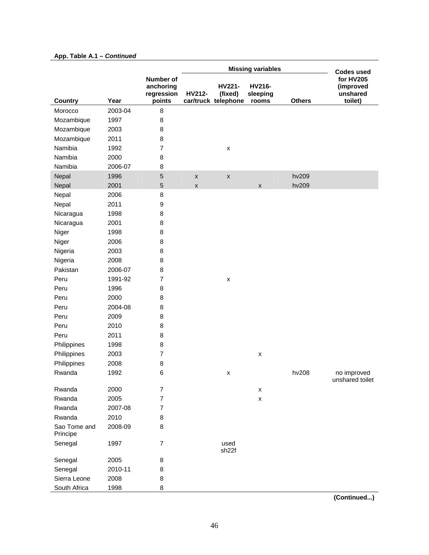#### App. Table A.1 - Continued

|                          |         |                                                | <b>Missing variables</b> |                                          |                             |               | <b>Codes used</b>                             |
|--------------------------|---------|------------------------------------------------|--------------------------|------------------------------------------|-----------------------------|---------------|-----------------------------------------------|
| Country                  | Year    | Number of<br>anchoring<br>regression<br>points | HV212-                   | HV221-<br>(fixed)<br>car/truck telephone | HV216-<br>sleeping<br>rooms | <b>Others</b> | for HV205<br>(improved<br>unshared<br>toilet) |
| Morocco                  | 2003-04 | $\bf8$                                         |                          |                                          |                             |               |                                               |
| Mozambique               | 1997    | 8                                              |                          |                                          |                             |               |                                               |
| Mozambique               | 2003    | 8                                              |                          |                                          |                             |               |                                               |
| Mozambique               | 2011    | 8                                              |                          |                                          |                             |               |                                               |
| Namibia                  | 1992    | $\overline{7}$                                 |                          | $\pmb{\times}$                           |                             |               |                                               |
| Namibia                  | 2000    | 8                                              |                          |                                          |                             |               |                                               |
| Namibia                  | 2006-07 | 8                                              |                          |                                          |                             |               |                                               |
| Nepal                    | 1996    | 5                                              | $\pmb{\mathsf{x}}$       | $\pmb{\mathsf{x}}$                       |                             | hv209         |                                               |
| Nepal                    | 2001    | 5                                              | $\pmb{\times}$           |                                          | $\pmb{\mathsf{x}}$          | hv209         |                                               |
| Nepal                    | 2006    | 8                                              |                          |                                          |                             |               |                                               |
| Nepal                    | 2011    | 9                                              |                          |                                          |                             |               |                                               |
| Nicaragua                | 1998    | 8                                              |                          |                                          |                             |               |                                               |
| Nicaragua                | 2001    | 8                                              |                          |                                          |                             |               |                                               |
| Niger                    | 1998    | 8                                              |                          |                                          |                             |               |                                               |
| Niger                    | 2006    | 8                                              |                          |                                          |                             |               |                                               |
| Nigeria                  | 2003    | 8                                              |                          |                                          |                             |               |                                               |
| Nigeria                  | 2008    | 8                                              |                          |                                          |                             |               |                                               |
| Pakistan                 | 2006-07 | 8                                              |                          |                                          |                             |               |                                               |
| Peru                     | 1991-92 | 7                                              |                          | $\pmb{\times}$                           |                             |               |                                               |
| Peru                     | 1996    | 8                                              |                          |                                          |                             |               |                                               |
| Peru                     | 2000    | 8                                              |                          |                                          |                             |               |                                               |
| Peru                     | 2004-08 | 8                                              |                          |                                          |                             |               |                                               |
| Peru                     | 2009    | 8                                              |                          |                                          |                             |               |                                               |
| Peru                     | 2010    | 8                                              |                          |                                          |                             |               |                                               |
| Peru                     | 2011    | 8                                              |                          |                                          |                             |               |                                               |
| Philippines              | 1998    | 8                                              |                          |                                          |                             |               |                                               |
| Philippines              | 2003    | $\overline{7}$                                 |                          |                                          | X                           |               |                                               |
| Philippines              | 2008    | 8                                              |                          |                                          |                             |               |                                               |
| Rwanda                   | 1992    | 6                                              |                          | X                                        |                             | hv208         | no improved<br>unshared toilet                |
| Rwanda                   | 2000    | $\overline{7}$                                 |                          |                                          | $\pmb{\mathsf{x}}$          |               |                                               |
| Rwanda                   | 2005    | $\overline{7}$                                 |                          |                                          | $\pmb{\mathsf{x}}$          |               |                                               |
| Rwanda                   | 2007-08 | $\overline{7}$                                 |                          |                                          |                             |               |                                               |
| Rwanda                   | 2010    | 8                                              |                          |                                          |                             |               |                                               |
| Sao Tome and<br>Principe | 2008-09 | 8                                              |                          |                                          |                             |               |                                               |
| Senegal                  | 1997    | $\overline{7}$                                 |                          | used<br>sh <sub>22f</sub>                |                             |               |                                               |
| Senegal                  | 2005    | 8                                              |                          |                                          |                             |               |                                               |
| Senegal                  | 2010-11 | 8                                              |                          |                                          |                             |               |                                               |
| Sierra Leone             | 2008    | 8                                              |                          |                                          |                             |               |                                               |
| South Africa             | 1998    | 8                                              |                          |                                          |                             |               |                                               |